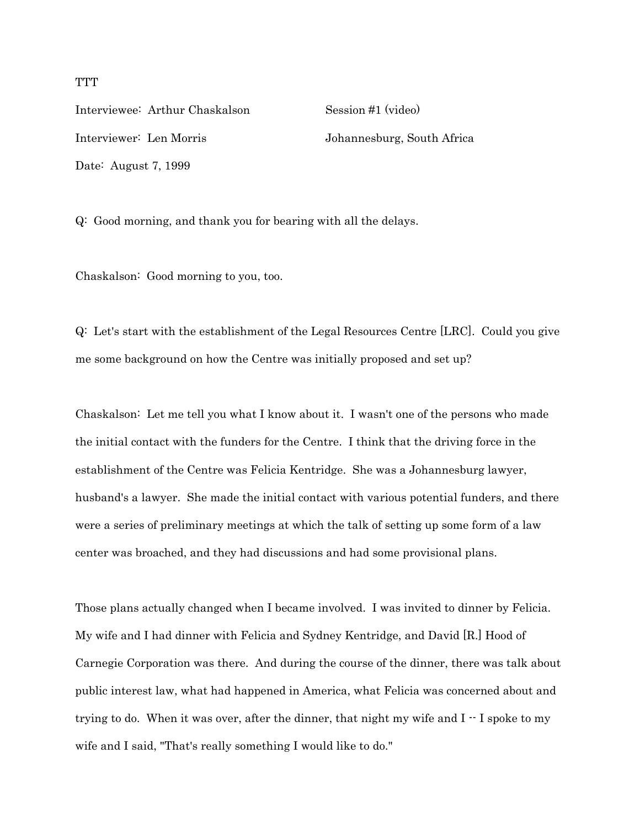Interviewee: Arthur Chaskalson Session #1 (video) Interviewer: Len Morris Johannesburg, South Africa Date: August 7, 1999

Q: Good morning, and thank you for bearing with all the delays.

Chaskalson: Good morning to you, too.

Q: Let's start with the establishment of the Legal Resources Centre [LRC]. Could you give me some background on how the Centre was initially proposed and set up?

Chaskalson: Let me tell you what I know about it. I wasn't one of the persons who made the initial contact with the funders for the Centre. I think that the driving force in the establishment of the Centre was Felicia Kentridge. She was a Johannesburg lawyer, husband's a lawyer. She made the initial contact with various potential funders, and there were a series of preliminary meetings at which the talk of setting up some form of a law center was broached, and they had discussions and had some provisional plans.

Those plans actually changed when I became involved. I was invited to dinner by Felicia. My wife and I had dinner with Felicia and Sydney Kentridge, and David [R.] Hood of Carnegie Corporation was there. And during the course of the dinner, there was talk about public interest law, what had happened in America, what Felicia was concerned about and trying to do. When it was over, after the dinner, that night my wife and  $I - I$  spoke to my wife and I said, "That's really something I would like to do."

**TTT**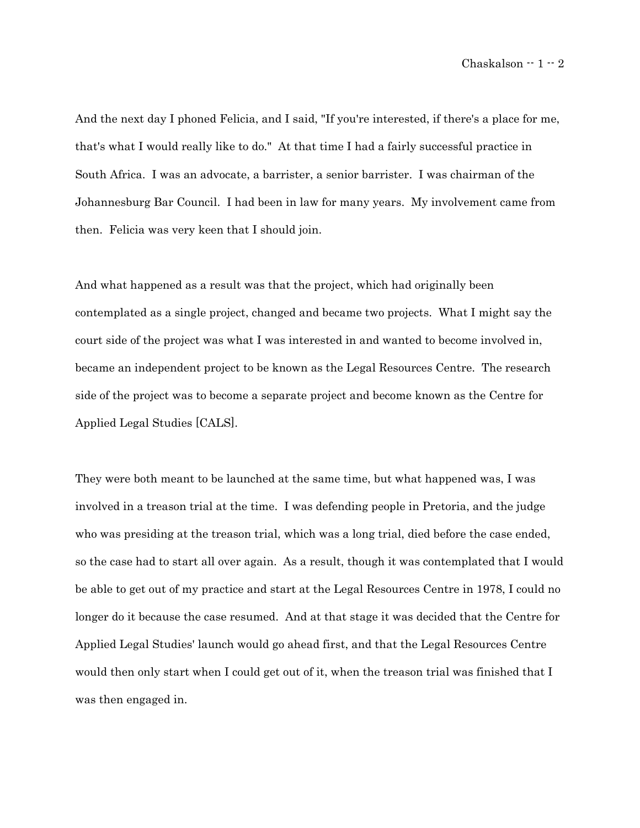And the next day I phoned Felicia, and I said, "If you're interested, if there's a place for me, that's what I would really like to do." At that time I had a fairly successful practice in South Africa. I was an advocate, a barrister, a senior barrister. I was chairman of the Johannesburg Bar Council. I had been in law for many years. My involvement came from then. Felicia was very keen that I should join.

And what happened as a result was that the project, which had originally been contemplated as a single project, changed and became two projects. What I might say the court side of the project was what I was interested in and wanted to become involved in, became an independent project to be known as the Legal Resources Centre. The research side of the project was to become a separate project and become known as the Centre for Applied Legal Studies [CALS].

They were both meant to be launched at the same time, but what happened was, I was involved in a treason trial at the time. I was defending people in Pretoria, and the judge who was presiding at the treason trial, which was a long trial, died before the case ended, so the case had to start all over again. As a result, though it was contemplated that I would be able to get out of my practice and start at the Legal Resources Centre in 1978, I could no longer do it because the case resumed. And at that stage it was decided that the Centre for Applied Legal Studies' launch would go ahead first, and that the Legal Resources Centre would then only start when I could get out of it, when the treason trial was finished that I was then engaged in.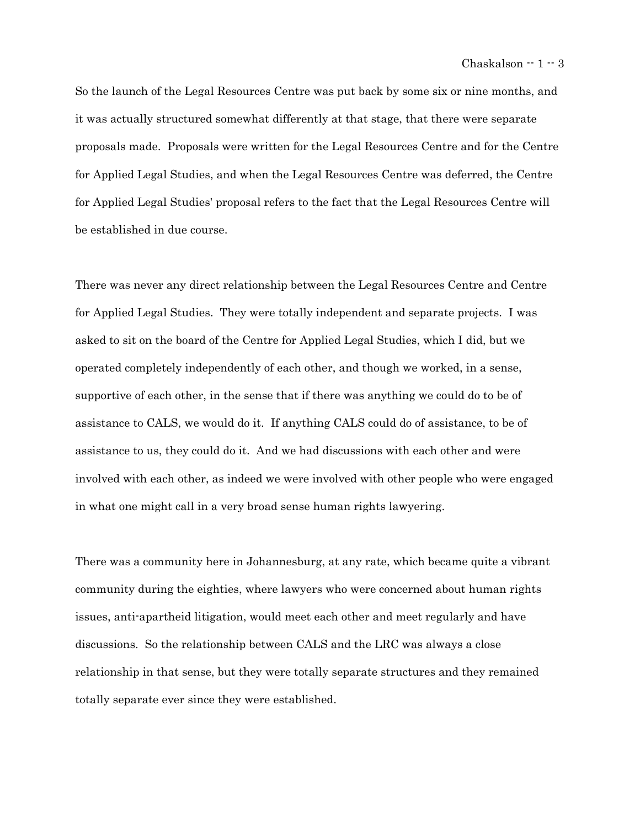So the launch of the Legal Resources Centre was put back by some six or nine months, and it was actually structured somewhat differently at that stage, that there were separate proposals made. Proposals were written for the Legal Resources Centre and for the Centre for Applied Legal Studies, and when the Legal Resources Centre was deferred, the Centre for Applied Legal Studies' proposal refers to the fact that the Legal Resources Centre will be established in due course.

There was never any direct relationship between the Legal Resources Centre and Centre for Applied Legal Studies. They were totally independent and separate projects. I was asked to sit on the board of the Centre for Applied Legal Studies, which I did, but we operated completely independently of each other, and though we worked, in a sense, supportive of each other, in the sense that if there was anything we could do to be of assistance to CALS, we would do it. If anything CALS could do of assistance, to be of assistance to us, they could do it. And we had discussions with each other and were involved with each other, as indeed we were involved with other people who were engaged in what one might call in a very broad sense human rights lawyering.

There was a community here in Johannesburg, at any rate, which became quite a vibrant community during the eighties, where lawyers who were concerned about human rights issues, anti-apartheid litigation, would meet each other and meet regularly and have discussions. So the relationship between CALS and the LRC was always a close relationship in that sense, but they were totally separate structures and they remained totally separate ever since they were established.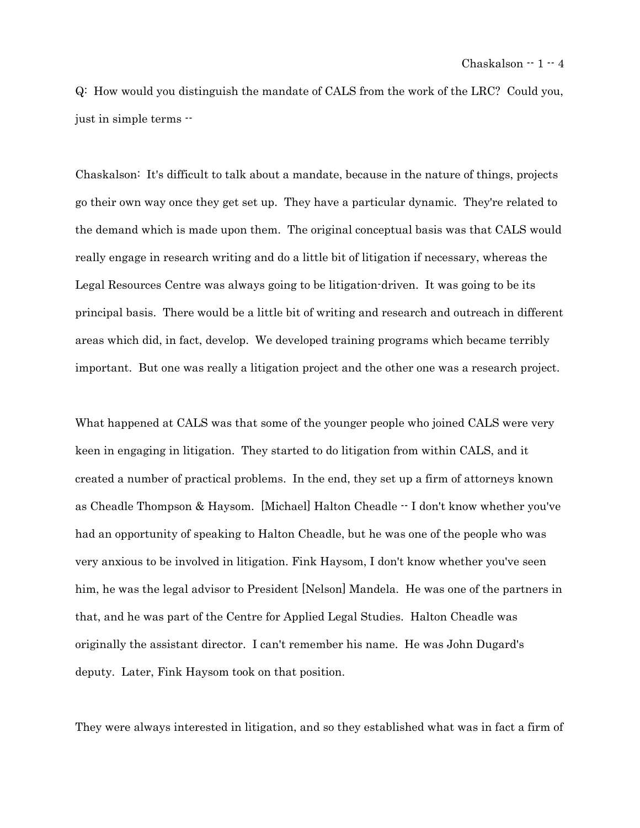Q: How would you distinguish the mandate of CALS from the work of the LRC? Could you, just in simple terms --

Chaskalson: It's difficult to talk about a mandate, because in the nature of things, projects go their own way once they get set up. They have a particular dynamic. They're related to the demand which is made upon them. The original conceptual basis was that CALS would really engage in research writing and do a little bit of litigation if necessary, whereas the Legal Resources Centre was always going to be litigation-driven. It was going to be its principal basis. There would be a little bit of writing and research and outreach in different areas which did, in fact, develop. We developed training programs which became terribly important. But one was really a litigation project and the other one was a research project.

What happened at CALS was that some of the younger people who joined CALS were very keen in engaging in litigation. They started to do litigation from within CALS, and it created a number of practical problems. In the end, they set up a firm of attorneys known as Cheadle Thompson & Haysom. [Michael] Halton Cheadle -- I don't know whether you've had an opportunity of speaking to Halton Cheadle, but he was one of the people who was very anxious to be involved in litigation. Fink Haysom, I don't know whether you've seen him, he was the legal advisor to President [Nelson] Mandela. He was one of the partners in that, and he was part of the Centre for Applied Legal Studies. Halton Cheadle was originally the assistant director. I can't remember his name. He was John Dugard's deputy. Later, Fink Haysom took on that position.

They were always interested in litigation, and so they established what was in fact a firm of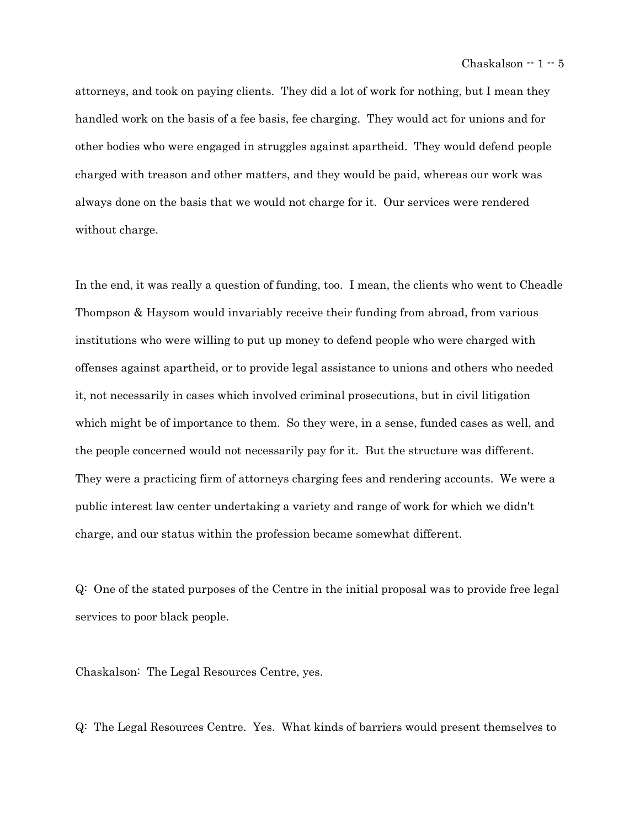attorneys, and took on paying clients. They did a lot of work for nothing, but I mean they handled work on the basis of a fee basis, fee charging. They would act for unions and for other bodies who were engaged in struggles against apartheid. They would defend people charged with treason and other matters, and they would be paid, whereas our work was always done on the basis that we would not charge for it. Our services were rendered without charge.

In the end, it was really a question of funding, too. I mean, the clients who went to Cheadle Thompson & Haysom would invariably receive their funding from abroad, from various institutions who were willing to put up money to defend people who were charged with offenses against apartheid, or to provide legal assistance to unions and others who needed it, not necessarily in cases which involved criminal prosecutions, but in civil litigation which might be of importance to them. So they were, in a sense, funded cases as well, and the people concerned would not necessarily pay for it. But the structure was different. They were a practicing firm of attorneys charging fees and rendering accounts. We were a public interest law center undertaking a variety and range of work for which we didn't charge, and our status within the profession became somewhat different.

Q: One of the stated purposes of the Centre in the initial proposal was to provide free legal services to poor black people.

Chaskalson: The Legal Resources Centre, yes.

Q: The Legal Resources Centre. Yes. What kinds of barriers would present themselves to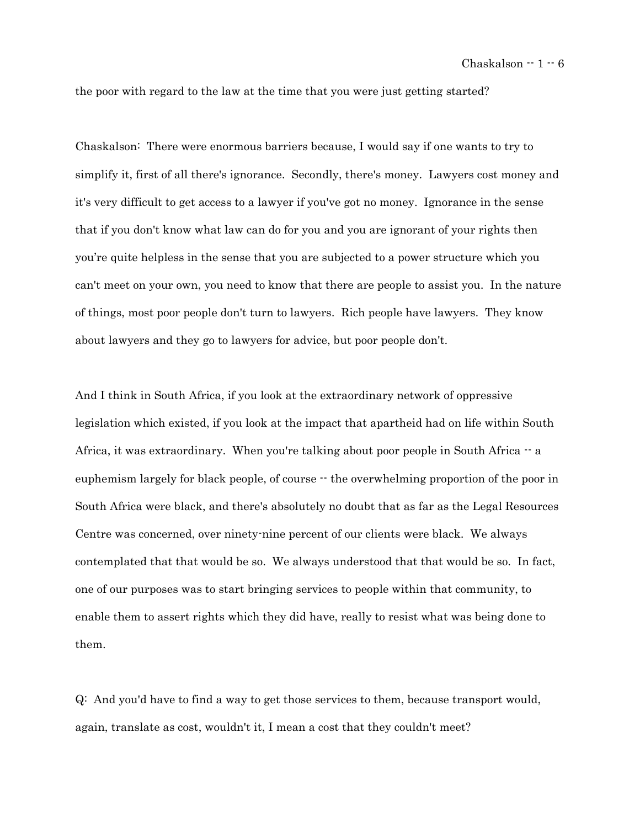the poor with regard to the law at the time that you were just getting started?

Chaskalson: There were enormous barriers because, I would say if one wants to try to simplify it, first of all there's ignorance. Secondly, there's money. Lawyers cost money and it's very difficult to get access to a lawyer if you've got no money. Ignorance in the sense that if you don't know what law can do for you and you are ignorant of your rights then you're quite helpless in the sense that you are subjected to a power structure which you can't meet on your own, you need to know that there are people to assist you. In the nature of things, most poor people don't turn to lawyers. Rich people have lawyers. They know about lawyers and they go to lawyers for advice, but poor people don't.

And I think in South Africa, if you look at the extraordinary network of oppressive legislation which existed, if you look at the impact that apartheid had on life within South Africa, it was extraordinary. When you're talking about poor people in South Africa  $-$  a euphemism largely for black people, of course  $\cdot \cdot$  the overwhelming proportion of the poor in South Africa were black, and there's absolutely no doubt that as far as the Legal Resources Centre was concerned, over ninety-nine percent of our clients were black. We always contemplated that that would be so. We always understood that that would be so. In fact, one of our purposes was to start bringing services to people within that community, to enable them to assert rights which they did have, really to resist what was being done to them.

Q: And you'd have to find a way to get those services to them, because transport would, again, translate as cost, wouldn't it, I mean a cost that they couldn't meet?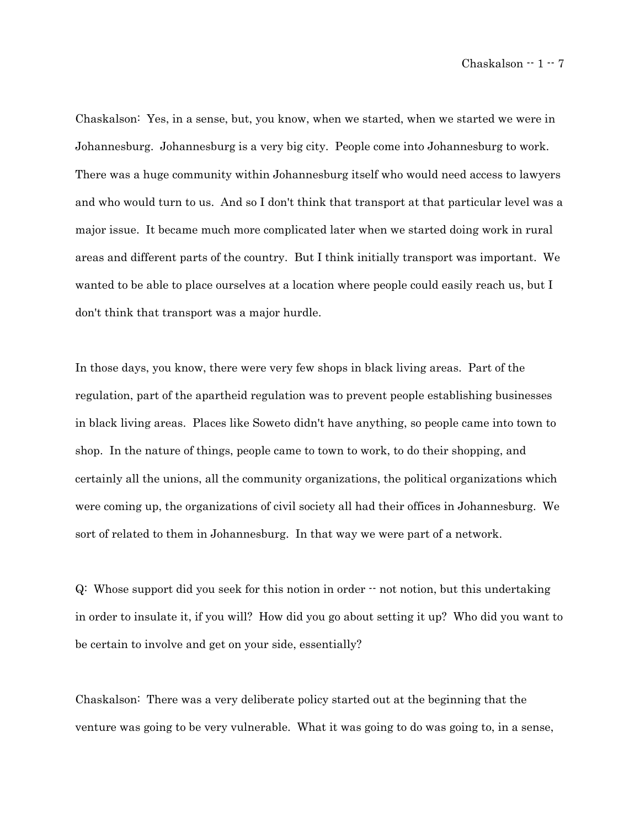Chaskalson: Yes, in a sense, but, you know, when we started, when we started we were in Johannesburg. Johannesburg is a very big city. People come into Johannesburg to work. There was a huge community within Johannesburg itself who would need access to lawyers and who would turn to us. And so I don't think that transport at that particular level was a major issue. It became much more complicated later when we started doing work in rural areas and different parts of the country. But I think initially transport was important. We wanted to be able to place ourselves at a location where people could easily reach us, but I don't think that transport was a major hurdle.

In those days, you know, there were very few shops in black living areas. Part of the regulation, part of the apartheid regulation was to prevent people establishing businesses in black living areas. Places like Soweto didn't have anything, so people came into town to shop. In the nature of things, people came to town to work, to do their shopping, and certainly all the unions, all the community organizations, the political organizations which were coming up, the organizations of civil society all had their offices in Johannesburg. We sort of related to them in Johannesburg. In that way we were part of a network.

Q: Whose support did you seek for this notion in order -- not notion, but this undertaking in order to insulate it, if you will? How did you go about setting it up? Who did you want to be certain to involve and get on your side, essentially?

Chaskalson: There was a very deliberate policy started out at the beginning that the venture was going to be very vulnerable. What it was going to do was going to, in a sense,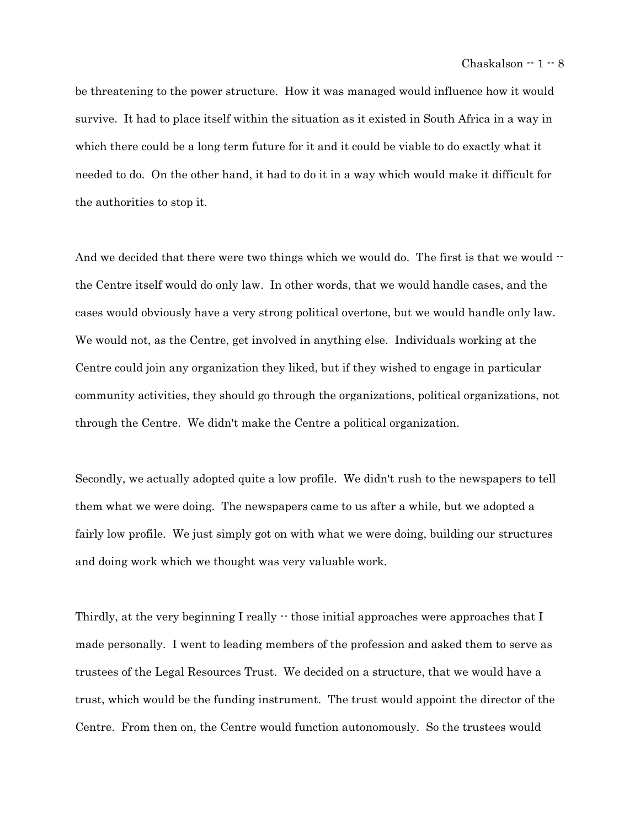be threatening to the power structure. How it was managed would influence how it would survive. It had to place itself within the situation as it existed in South Africa in a way in which there could be a long term future for it and it could be viable to do exactly what it needed to do. On the other hand, it had to do it in a way which would make it difficult for the authorities to stop it.

And we decided that there were two things which we would do. The first is that we would  $\cdot$ the Centre itself would do only law. In other words, that we would handle cases, and the cases would obviously have a very strong political overtone, but we would handle only law. We would not, as the Centre, get involved in anything else. Individuals working at the Centre could join any organization they liked, but if they wished to engage in particular community activities, they should go through the organizations, political organizations, not through the Centre. We didn't make the Centre a political organization.

Secondly, we actually adopted quite a low profile. We didn't rush to the newspapers to tell them what we were doing. The newspapers came to us after a while, but we adopted a fairly low profile. We just simply got on with what we were doing, building our structures and doing work which we thought was very valuable work.

Thirdly, at the very beginning I really  $\cdot\cdot$  those initial approaches were approaches that I made personally. I went to leading members of the profession and asked them to serve as trustees of the Legal Resources Trust. We decided on a structure, that we would have a trust, which would be the funding instrument. The trust would appoint the director of the Centre. From then on, the Centre would function autonomously. So the trustees would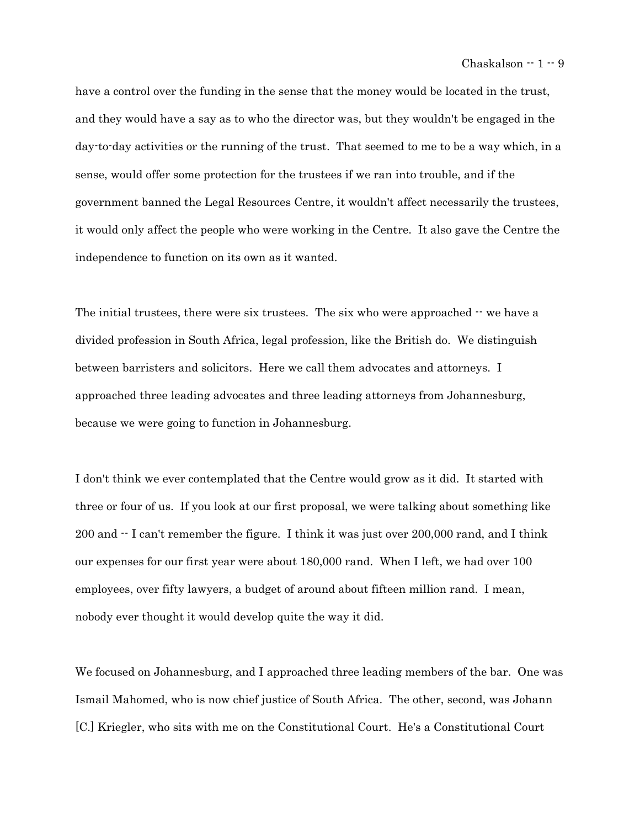have a control over the funding in the sense that the money would be located in the trust, and they would have a say as to who the director was, but they wouldn't be engaged in the day-to-day activities or the running of the trust. That seemed to me to be a way which, in a sense, would offer some protection for the trustees if we ran into trouble, and if the government banned the Legal Resources Centre, it wouldn't affect necessarily the trustees, it would only affect the people who were working in the Centre. It also gave the Centre the independence to function on its own as it wanted.

The initial trustees, there were six trustees. The six who were approached  $-$  we have a divided profession in South Africa, legal profession, like the British do. We distinguish between barristers and solicitors. Here we call them advocates and attorneys. I approached three leading advocates and three leading attorneys from Johannesburg, because we were going to function in Johannesburg.

I don't think we ever contemplated that the Centre would grow as it did. It started with three or four of us. If you look at our first proposal, we were talking about something like 200 and -- I can't remember the figure. I think it was just over 200,000 rand, and I think our expenses for our first year were about 180,000 rand. When I left, we had over 100 employees, over fifty lawyers, a budget of around about fifteen million rand. I mean, nobody ever thought it would develop quite the way it did.

We focused on Johannesburg, and I approached three leading members of the bar. One was Ismail Mahomed, who is now chief justice of South Africa. The other, second, was Johann [C.] Kriegler, who sits with me on the Constitutional Court. He's a Constitutional Court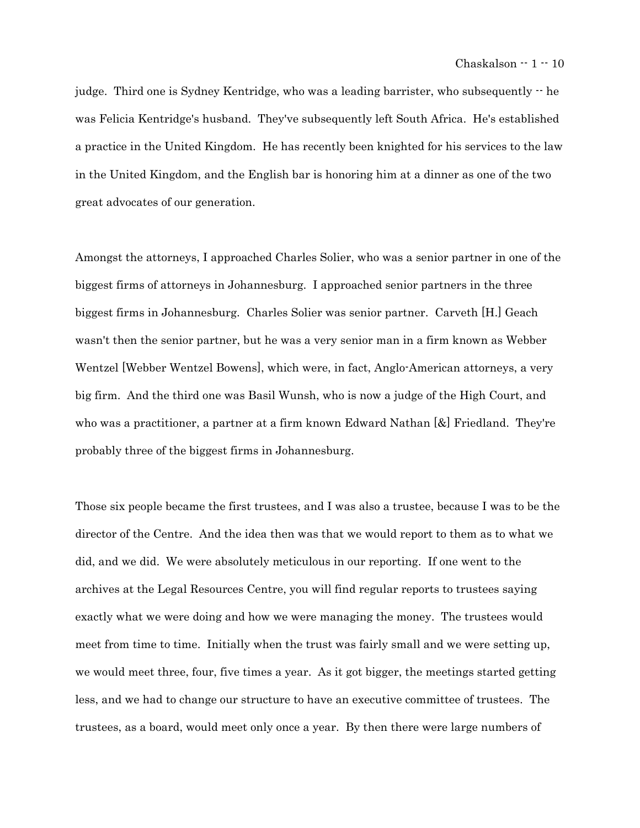judge. Third one is Sydney Kentridge, who was a leading barrister, who subsequently -- he was Felicia Kentridge's husband. They've subsequently left South Africa. He's established a practice in the United Kingdom. He has recently been knighted for his services to the law in the United Kingdom, and the English bar is honoring him at a dinner as one of the two great advocates of our generation.

Amongst the attorneys, I approached Charles Solier, who was a senior partner in one of the biggest firms of attorneys in Johannesburg. I approached senior partners in the three biggest firms in Johannesburg. Charles Solier was senior partner. Carveth [H.] Geach wasn't then the senior partner, but he was a very senior man in a firm known as Webber Wentzel [Webber Wentzel Bowens], which were, in fact, Anglo-American attorneys, a very big firm. And the third one was Basil Wunsh, who is now a judge of the High Court, and who was a practitioner, a partner at a firm known Edward Nathan [&] Friedland. They're probably three of the biggest firms in Johannesburg.

Those six people became the first trustees, and I was also a trustee, because I was to be the director of the Centre. And the idea then was that we would report to them as to what we did, and we did. We were absolutely meticulous in our reporting. If one went to the archives at the Legal Resources Centre, you will find regular reports to trustees saying exactly what we were doing and how we were managing the money. The trustees would meet from time to time. Initially when the trust was fairly small and we were setting up, we would meet three, four, five times a year. As it got bigger, the meetings started getting less, and we had to change our structure to have an executive committee of trustees. The trustees, as a board, would meet only once a year. By then there were large numbers of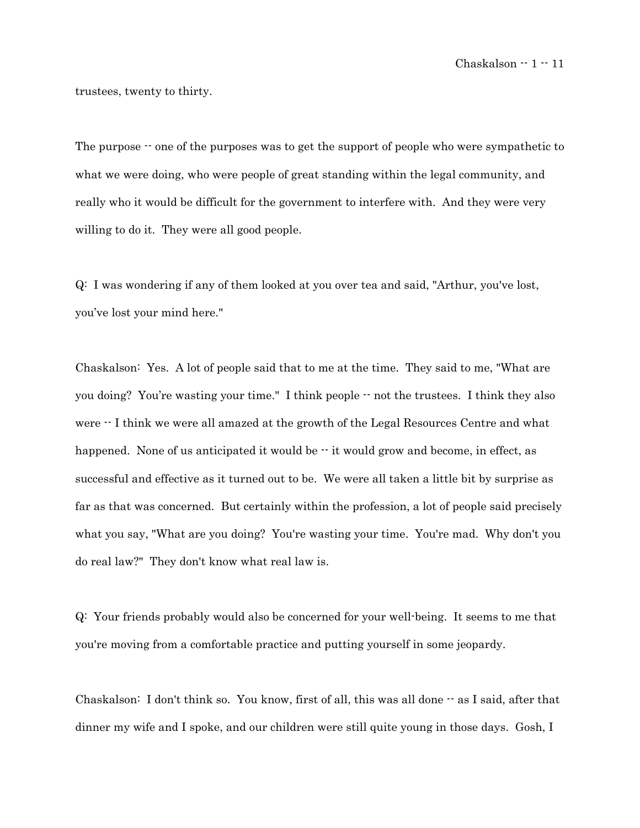trustees, twenty to thirty.

The purpose  $\cdot$  one of the purposes was to get the support of people who were sympathetic to what we were doing, who were people of great standing within the legal community, and really who it would be difficult for the government to interfere with. And they were very willing to do it. They were all good people.

Q: I was wondering if any of them looked at you over tea and said, "Arthur, you've lost, you've lost your mind here."

Chaskalson: Yes. A lot of people said that to me at the time. They said to me, "What are you doing? You're wasting your time." I think people  $-$  not the trustees. I think they also were  $\cdot$ - I think we were all amazed at the growth of the Legal Resources Centre and what happened. None of us anticipated it would be  $-$  it would grow and become, in effect, as successful and effective as it turned out to be. We were all taken a little bit by surprise as far as that was concerned. But certainly within the profession, a lot of people said precisely what you say, "What are you doing? You're wasting your time. You're mad. Why don't you do real law?" They don't know what real law is.

Q: Your friends probably would also be concerned for your well-being. It seems to me that you're moving from a comfortable practice and putting yourself in some jeopardy.

Chaskalson: I don't think so. You know, first of all, this was all done  $-$  as I said, after that dinner my wife and I spoke, and our children were still quite young in those days. Gosh, I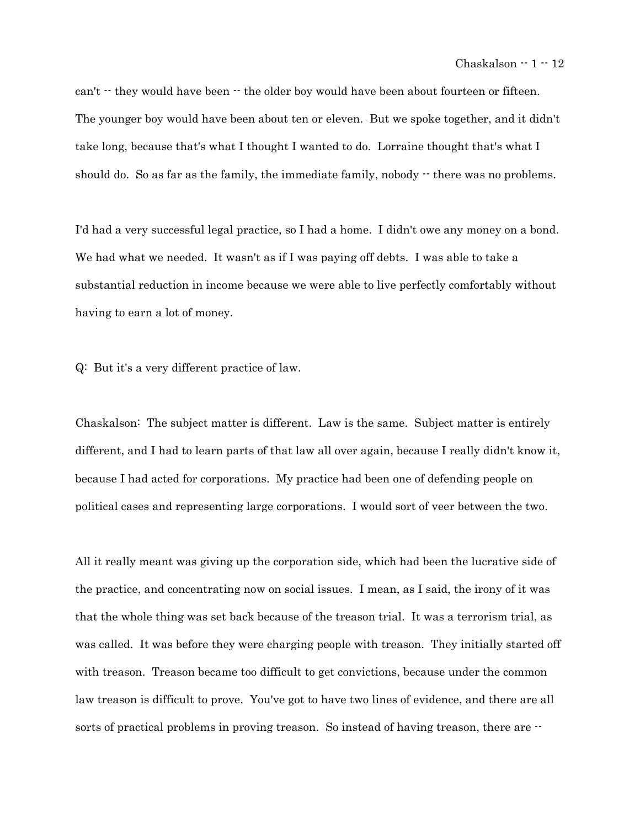can't  $\cdot$  they would have been  $\cdot$  the older boy would have been about fourteen or fifteen. The younger boy would have been about ten or eleven. But we spoke together, and it didn't take long, because that's what I thought I wanted to do. Lorraine thought that's what I should do. So as far as the family, the immediate family, nobody  $\cdot$  there was no problems.

I'd had a very successful legal practice, so I had a home. I didn't owe any money on a bond. We had what we needed. It wasn't as if I was paying off debts. I was able to take a substantial reduction in income because we were able to live perfectly comfortably without having to earn a lot of money.

Q: But it's a very different practice of law.

Chaskalson: The subject matter is different. Law is the same. Subject matter is entirely different, and I had to learn parts of that law all over again, because I really didn't know it, because I had acted for corporations. My practice had been one of defending people on political cases and representing large corporations. I would sort of veer between the two.

All it really meant was giving up the corporation side, which had been the lucrative side of the practice, and concentrating now on social issues. I mean, as I said, the irony of it was that the whole thing was set back because of the treason trial. It was a terrorism trial, as was called. It was before they were charging people with treason. They initially started off with treason. Treason became too difficult to get convictions, because under the common law treason is difficult to prove. You've got to have two lines of evidence, and there are all sorts of practical problems in proving treason. So instead of having treason, there are  $\cdot$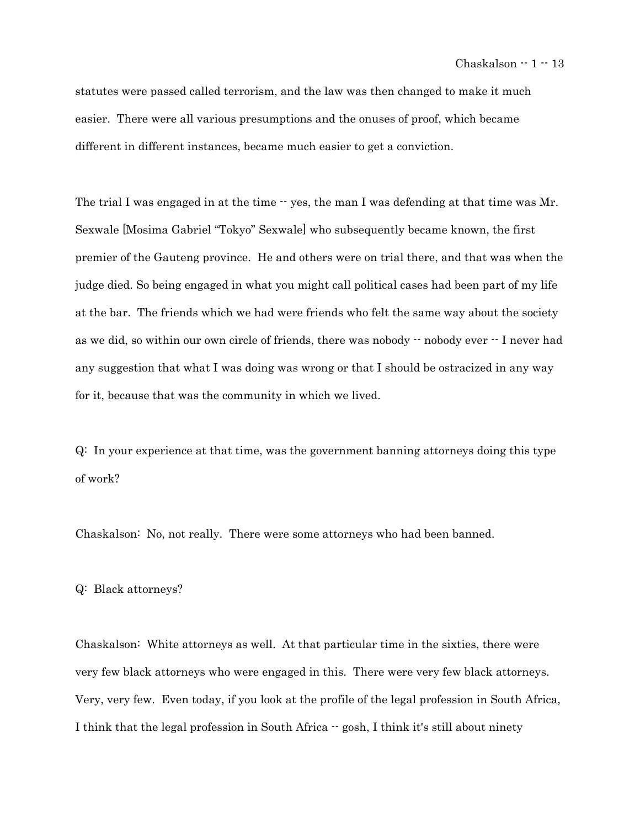statutes were passed called terrorism, and the law was then changed to make it much easier. There were all various presumptions and the onuses of proof, which became different in different instances, became much easier to get a conviction.

The trial I was engaged in at the time  $-$  yes, the man I was defending at that time was Mr. Sexwale [Mosima Gabriel "Tokyo" Sexwale] who subsequently became known, the first premier of the Gauteng province. He and others were on trial there, and that was when the judge died. So being engaged in what you might call political cases had been part of my life at the bar. The friends which we had were friends who felt the same way about the society as we did, so within our own circle of friends, there was nobody -- nobody ever -- I never had any suggestion that what I was doing was wrong or that I should be ostracized in any way for it, because that was the community in which we lived.

Q: In your experience at that time, was the government banning attorneys doing this type of work?

Chaskalson: No, not really. There were some attorneys who had been banned.

# Q: Black attorneys?

Chaskalson: White attorneys as well. At that particular time in the sixties, there were very few black attorneys who were engaged in this. There were very few black attorneys. Very, very few. Even today, if you look at the profile of the legal profession in South Africa, I think that the legal profession in South Africa -- gosh, I think it's still about ninety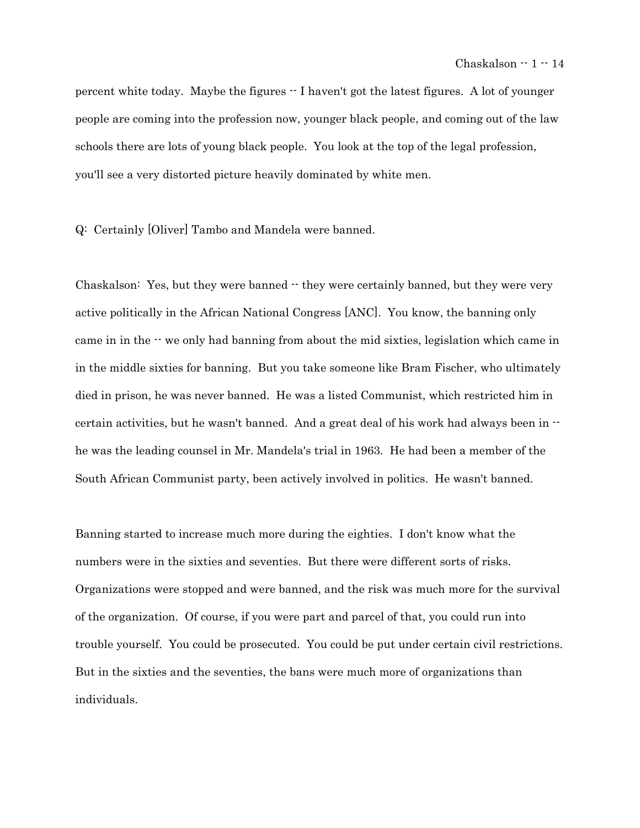percent white today. Maybe the figures -- I haven't got the latest figures. A lot of younger people are coming into the profession now, younger black people, and coming out of the law schools there are lots of young black people. You look at the top of the legal profession, you'll see a very distorted picture heavily dominated by white men.

Q: Certainly [Oliver] Tambo and Mandela were banned.

Chaskalson: Yes, but they were banned  $\cdot$  they were certainly banned, but they were very active politically in the African National Congress [ANC]. You know, the banning only came in in the -- we only had banning from about the mid sixties, legislation which came in in the middle sixties for banning. But you take someone like Bram Fischer, who ultimately died in prison, he was never banned. He was a listed Communist, which restricted him in certain activities, but he wasn't banned. And a great deal of his work had always been in  $\cdot$ he was the leading counsel in Mr. Mandela's trial in 1963. He had been a member of the South African Communist party, been actively involved in politics. He wasn't banned.

Banning started to increase much more during the eighties. I don't know what the numbers were in the sixties and seventies. But there were different sorts of risks. Organizations were stopped and were banned, and the risk was much more for the survival of the organization. Of course, if you were part and parcel of that, you could run into trouble yourself. You could be prosecuted. You could be put under certain civil restrictions. But in the sixties and the seventies, the bans were much more of organizations than individuals.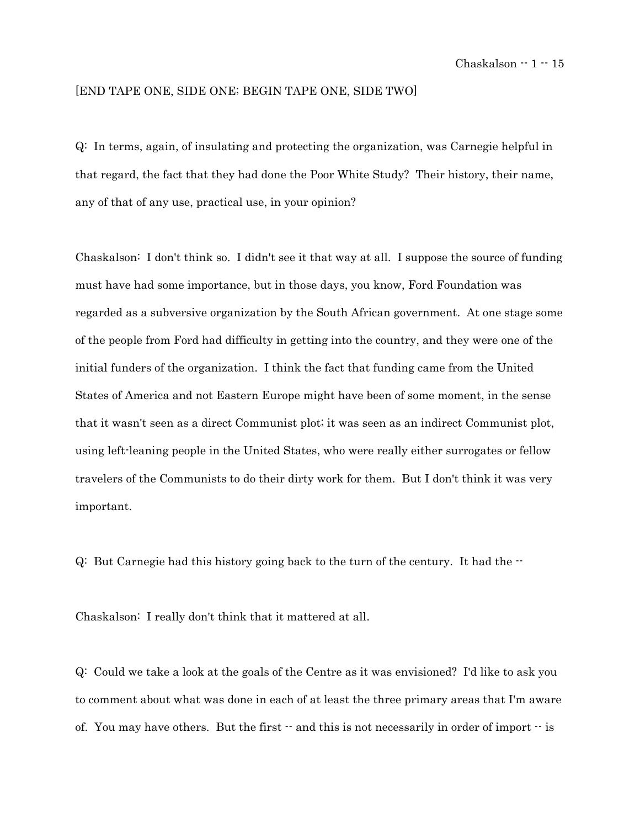# [END TAPE ONE, SIDE ONE; BEGIN TAPE ONE, SIDE TWO]

Q: In terms, again, of insulating and protecting the organization, was Carnegie helpful in that regard, the fact that they had done the Poor White Study? Their history, their name, any of that of any use, practical use, in your opinion?

Chaskalson: I don't think so. I didn't see it that way at all. I suppose the source of funding must have had some importance, but in those days, you know, Ford Foundation was regarded as a subversive organization by the South African government. At one stage some of the people from Ford had difficulty in getting into the country, and they were one of the initial funders of the organization. I think the fact that funding came from the United States of America and not Eastern Europe might have been of some moment, in the sense that it wasn't seen as a direct Communist plot; it was seen as an indirect Communist plot, using left-leaning people in the United States, who were really either surrogates or fellow travelers of the Communists to do their dirty work for them. But I don't think it was very important.

 $Q:$  But Carnegie had this history going back to the turn of the century. It had the  $\cdot$ 

Chaskalson: I really don't think that it mattered at all.

Q: Could we take a look at the goals of the Centre as it was envisioned? I'd like to ask you to comment about what was done in each of at least the three primary areas that I'm aware of. You may have others. But the first  $\cdot$  and this is not necessarily in order of import  $\cdot$  is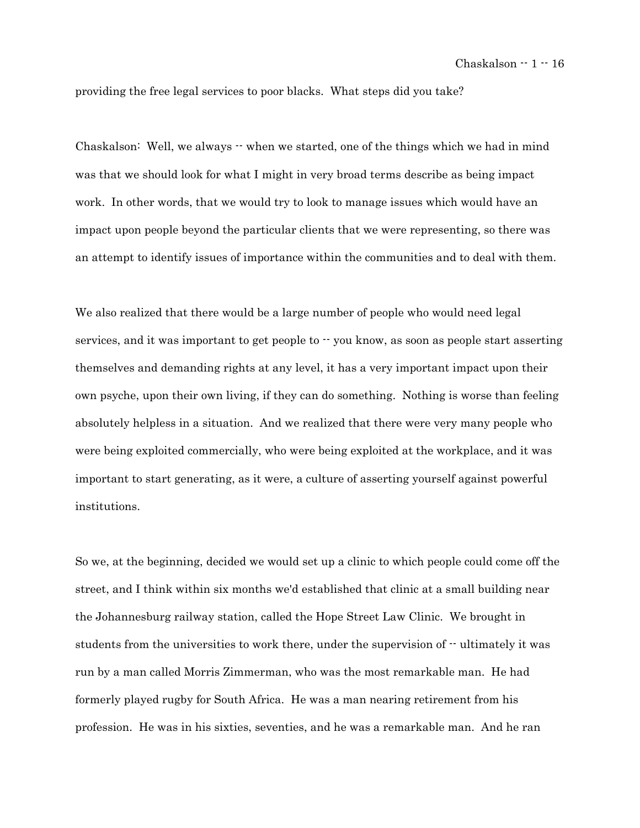providing the free legal services to poor blacks. What steps did you take?

Chaskalson: Well, we always  $\cdot\cdot$  when we started, one of the things which we had in mind was that we should look for what I might in very broad terms describe as being impact work. In other words, that we would try to look to manage issues which would have an impact upon people beyond the particular clients that we were representing, so there was an attempt to identify issues of importance within the communities and to deal with them.

We also realized that there would be a large number of people who would need legal services, and it was important to get people to  $\cdot \cdot$  you know, as soon as people start asserting themselves and demanding rights at any level, it has a very important impact upon their own psyche, upon their own living, if they can do something. Nothing is worse than feeling absolutely helpless in a situation. And we realized that there were very many people who were being exploited commercially, who were being exploited at the workplace, and it was important to start generating, as it were, a culture of asserting yourself against powerful institutions.

So we, at the beginning, decided we would set up a clinic to which people could come off the street, and I think within six months we'd established that clinic at a small building near the Johannesburg railway station, called the Hope Street Law Clinic. We brought in students from the universities to work there, under the supervision of  $-$  ultimately it was run by a man called Morris Zimmerman, who was the most remarkable man. He had formerly played rugby for South Africa. He was a man nearing retirement from his profession. He was in his sixties, seventies, and he was a remarkable man. And he ran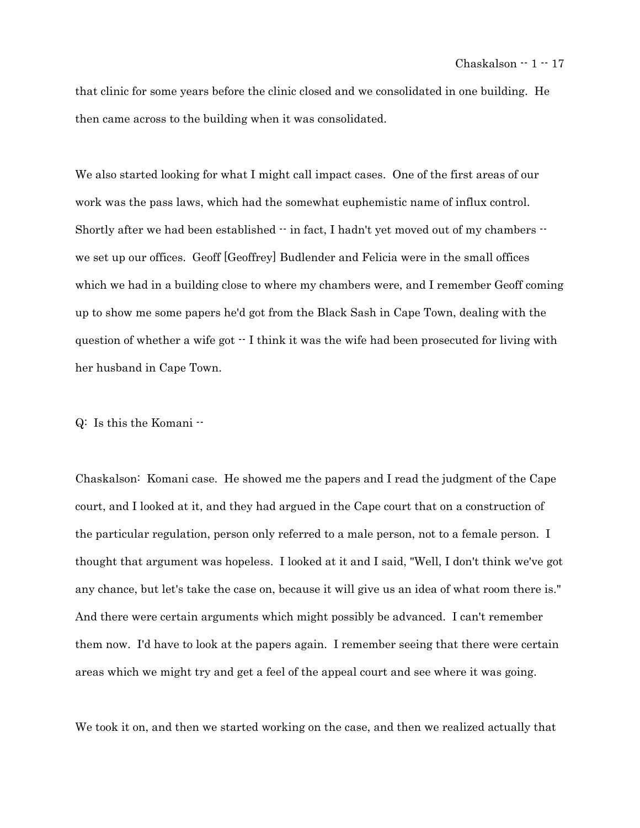that clinic for some years before the clinic closed and we consolidated in one building. He then came across to the building when it was consolidated.

We also started looking for what I might call impact cases. One of the first areas of our work was the pass laws, which had the somewhat euphemistic name of influx control. Shortly after we had been established  $-$  in fact, I hadn't yet moved out of my chambers  $$ we set up our offices. Geoff [Geoffrey] Budlender and Felicia were in the small offices which we had in a building close to where my chambers were, and I remember Geoff coming up to show me some papers he'd got from the Black Sash in Cape Town, dealing with the question of whether a wife got  $\cdot$  I think it was the wife had been prosecuted for living with her husband in Cape Town.

Q: Is this the Komani --

Chaskalson: Komani case. He showed me the papers and I read the judgment of the Cape court, and I looked at it, and they had argued in the Cape court that on a construction of the particular regulation, person only referred to a male person, not to a female person. I thought that argument was hopeless. I looked at it and I said, "Well, I don't think we've got any chance, but let's take the case on, because it will give us an idea of what room there is." And there were certain arguments which might possibly be advanced. I can't remember them now. I'd have to look at the papers again. I remember seeing that there were certain areas which we might try and get a feel of the appeal court and see where it was going.

We took it on, and then we started working on the case, and then we realized actually that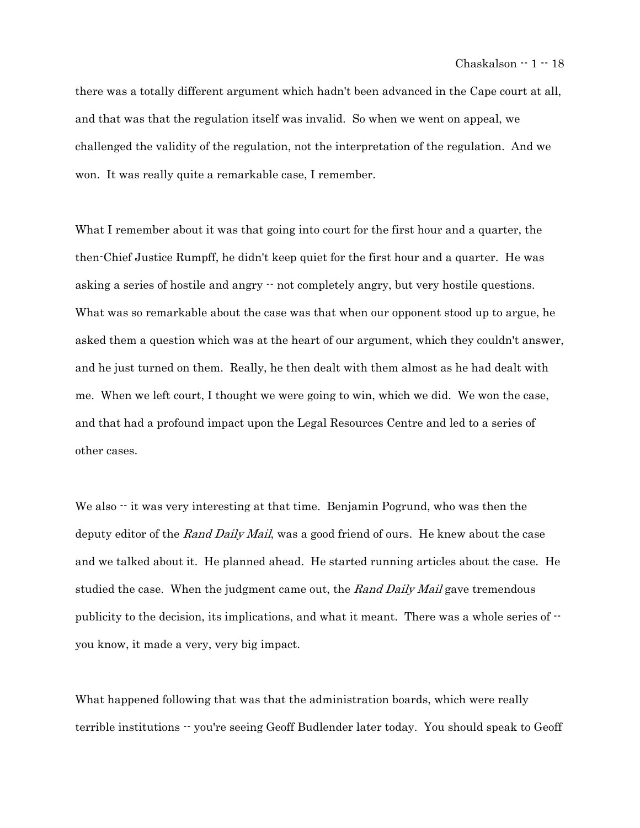there was a totally different argument which hadn't been advanced in the Cape court at all, and that was that the regulation itself was invalid. So when we went on appeal, we challenged the validity of the regulation, not the interpretation of the regulation. And we won. It was really quite a remarkable case, I remember.

What I remember about it was that going into court for the first hour and a quarter, the then-Chief Justice Rumpff, he didn't keep quiet for the first hour and a quarter. He was asking a series of hostile and angry -- not completely angry, but very hostile questions. What was so remarkable about the case was that when our opponent stood up to argue, he asked them a question which was at the heart of our argument, which they couldn't answer, and he just turned on them. Really, he then dealt with them almost as he had dealt with me. When we left court, I thought we were going to win, which we did. We won the case, and that had a profound impact upon the Legal Resources Centre and led to a series of other cases.

We also  $\cdot$  it was very interesting at that time. Benjamin Pogrund, who was then the deputy editor of the Rand Daily Mail, was a good friend of ours. He knew about the case and we talked about it. He planned ahead. He started running articles about the case. He studied the case. When the judgment came out, the Rand Daily Mail gave tremendous publicity to the decision, its implications, and what it meant. There was a whole series of  $\cdot$ you know, it made a very, very big impact.

What happened following that was that the administration boards, which were really terrible institutions  $\cdot \cdot$  you're seeing Geoff Budlender later today. You should speak to Geoff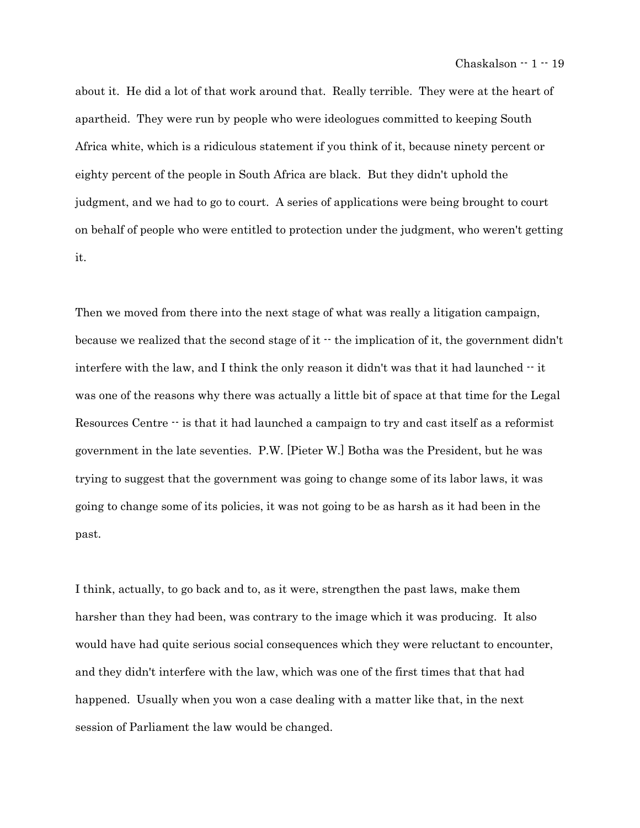about it. He did a lot of that work around that. Really terrible. They were at the heart of apartheid. They were run by people who were ideologues committed to keeping South Africa white, which is a ridiculous statement if you think of it, because ninety percent or eighty percent of the people in South Africa are black. But they didn't uphold the judgment, and we had to go to court. A series of applications were being brought to court on behalf of people who were entitled to protection under the judgment, who weren't getting it.

Then we moved from there into the next stage of what was really a litigation campaign, because we realized that the second stage of it  $\cdot\cdot$  the implication of it, the government didn't interfere with the law, and I think the only reason it didn't was that it had launched  $\cdot \cdot$  it was one of the reasons why there was actually a little bit of space at that time for the Legal Resources Centre  $\cdot \cdot$  is that it had launched a campaign to try and cast itself as a reformist government in the late seventies. P.W. [Pieter W.] Botha was the President, but he was trying to suggest that the government was going to change some of its labor laws, it was going to change some of its policies, it was not going to be as harsh as it had been in the past.

I think, actually, to go back and to, as it were, strengthen the past laws, make them harsher than they had been, was contrary to the image which it was producing. It also would have had quite serious social consequences which they were reluctant to encounter, and they didn't interfere with the law, which was one of the first times that that had happened. Usually when you won a case dealing with a matter like that, in the next session of Parliament the law would be changed.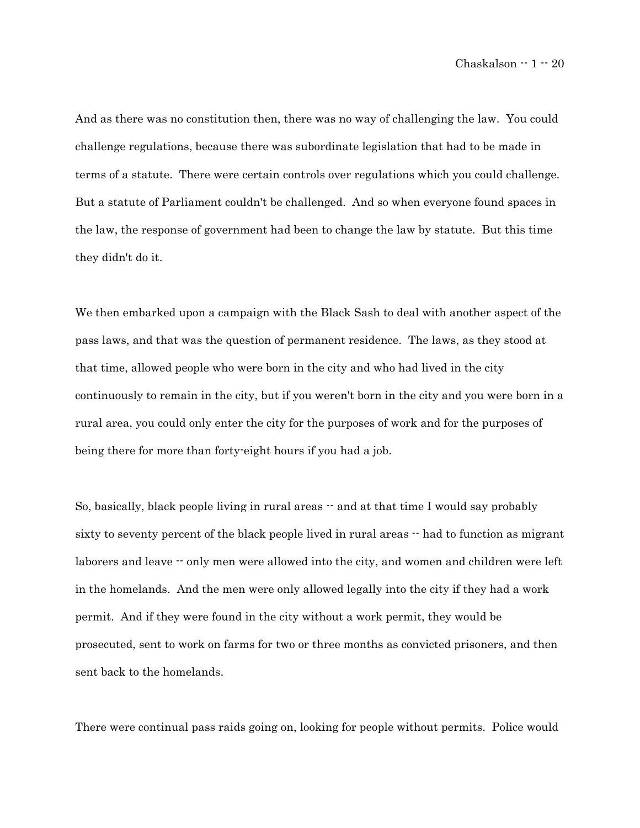And as there was no constitution then, there was no way of challenging the law. You could challenge regulations, because there was subordinate legislation that had to be made in terms of a statute. There were certain controls over regulations which you could challenge. But a statute of Parliament couldn't be challenged. And so when everyone found spaces in the law, the response of government had been to change the law by statute. But this time they didn't do it.

We then embarked upon a campaign with the Black Sash to deal with another aspect of the pass laws, and that was the question of permanent residence. The laws, as they stood at that time, allowed people who were born in the city and who had lived in the city continuously to remain in the city, but if you weren't born in the city and you were born in a rural area, you could only enter the city for the purposes of work and for the purposes of being there for more than forty-eight hours if you had a job.

So, basically, black people living in rural areas  $-$  and at that time I would say probably sixty to seventy percent of the black people lived in rural areas  $-$  had to function as migrant laborers and leave  $\cdot$  only men were allowed into the city, and women and children were left in the homelands. And the men were only allowed legally into the city if they had a work permit. And if they were found in the city without a work permit, they would be prosecuted, sent to work on farms for two or three months as convicted prisoners, and then sent back to the homelands.

There were continual pass raids going on, looking for people without permits. Police would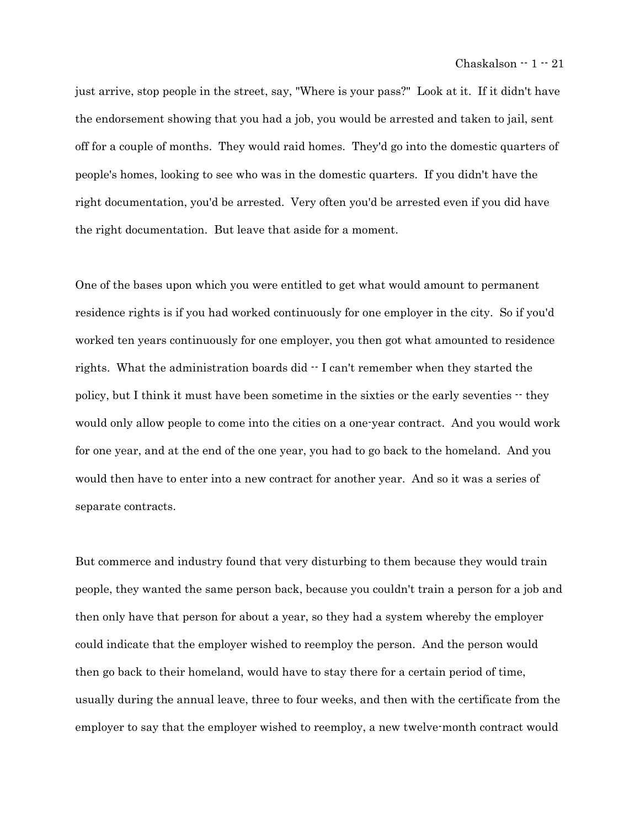just arrive, stop people in the street, say, "Where is your pass?" Look at it. If it didn't have the endorsement showing that you had a job, you would be arrested and taken to jail, sent off for a couple of months. They would raid homes. They'd go into the domestic quarters of people's homes, looking to see who was in the domestic quarters. If you didn't have the right documentation, you'd be arrested. Very often you'd be arrested even if you did have the right documentation. But leave that aside for a moment.

One of the bases upon which you were entitled to get what would amount to permanent residence rights is if you had worked continuously for one employer in the city. So if you'd worked ten years continuously for one employer, you then got what amounted to residence rights. What the administration boards did  $\cdot$  I can't remember when they started the policy, but I think it must have been sometime in the sixties or the early seventies  $-$  they would only allow people to come into the cities on a one-year contract. And you would work for one year, and at the end of the one year, you had to go back to the homeland. And you would then have to enter into a new contract for another year. And so it was a series of separate contracts.

But commerce and industry found that very disturbing to them because they would train people, they wanted the same person back, because you couldn't train a person for a job and then only have that person for about a year, so they had a system whereby the employer could indicate that the employer wished to reemploy the person. And the person would then go back to their homeland, would have to stay there for a certain period of time, usually during the annual leave, three to four weeks, and then with the certificate from the employer to say that the employer wished to reemploy, a new twelve-month contract would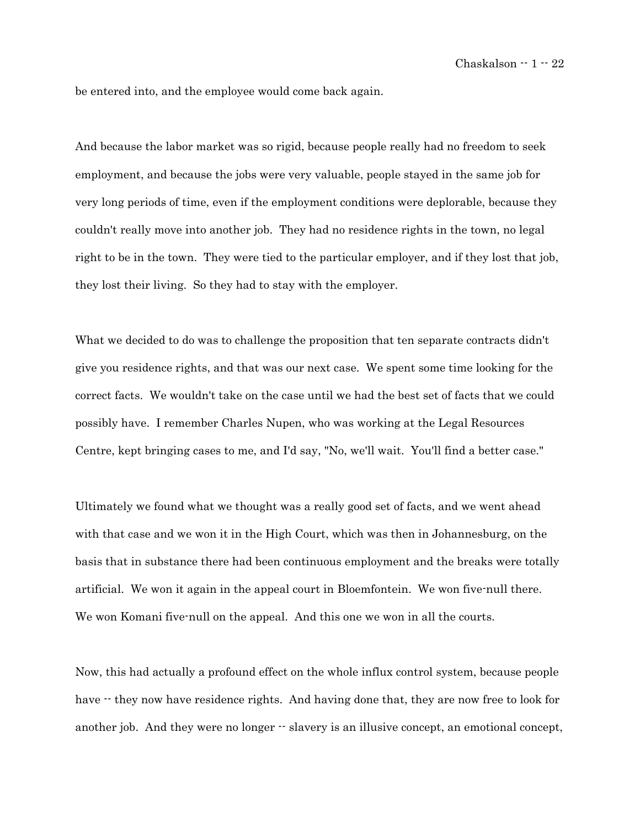be entered into, and the employee would come back again.

And because the labor market was so rigid, because people really had no freedom to seek employment, and because the jobs were very valuable, people stayed in the same job for very long periods of time, even if the employment conditions were deplorable, because they couldn't really move into another job. They had no residence rights in the town, no legal right to be in the town. They were tied to the particular employer, and if they lost that job, they lost their living. So they had to stay with the employer.

What we decided to do was to challenge the proposition that ten separate contracts didn't give you residence rights, and that was our next case. We spent some time looking for the correct facts. We wouldn't take on the case until we had the best set of facts that we could possibly have. I remember Charles Nupen, who was working at the Legal Resources Centre, kept bringing cases to me, and I'd say, "No, we'll wait. You'll find a better case."

Ultimately we found what we thought was a really good set of facts, and we went ahead with that case and we won it in the High Court, which was then in Johannesburg, on the basis that in substance there had been continuous employment and the breaks were totally artificial. We won it again in the appeal court in Bloemfontein. We won five-null there. We won Komani five-null on the appeal. And this one we won in all the courts.

Now, this had actually a profound effect on the whole influx control system, because people have  $\cdot$  they now have residence rights. And having done that, they are now free to look for another job. And they were no longer  $\cdot$  slavery is an illusive concept, an emotional concept,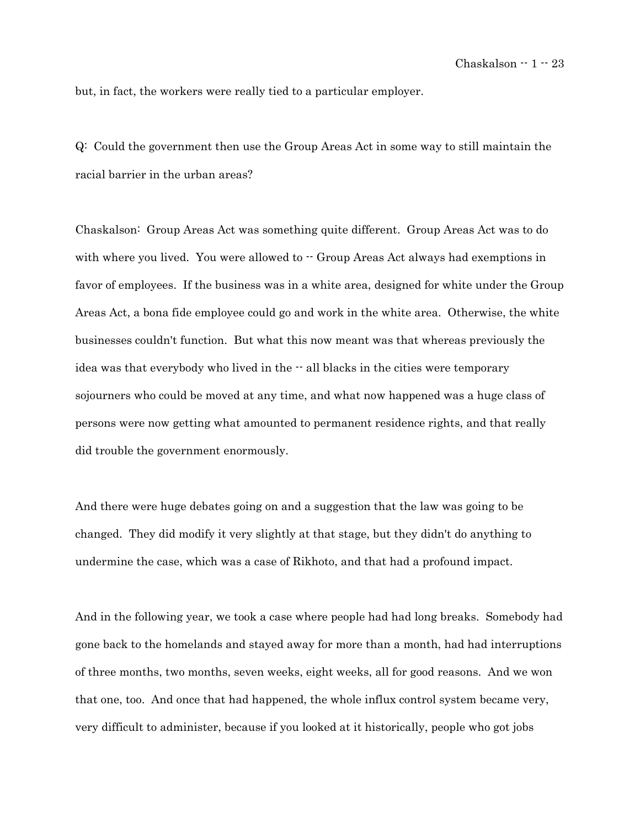but, in fact, the workers were really tied to a particular employer.

Q: Could the government then use the Group Areas Act in some way to still maintain the racial barrier in the urban areas?

Chaskalson: Group Areas Act was something quite different. Group Areas Act was to do with where you lived. You were allowed to  $\cdot$  Group Areas Act always had exemptions in favor of employees. If the business was in a white area, designed for white under the Group Areas Act, a bona fide employee could go and work in the white area. Otherwise, the white businesses couldn't function. But what this now meant was that whereas previously the idea was that everybody who lived in the  $\cdot$  all blacks in the cities were temporary sojourners who could be moved at any time, and what now happened was a huge class of persons were now getting what amounted to permanent residence rights, and that really did trouble the government enormously.

And there were huge debates going on and a suggestion that the law was going to be changed. They did modify it very slightly at that stage, but they didn't do anything to undermine the case, which was a case of Rikhoto, and that had a profound impact.

And in the following year, we took a case where people had had long breaks. Somebody had gone back to the homelands and stayed away for more than a month, had had interruptions of three months, two months, seven weeks, eight weeks, all for good reasons. And we won that one, too. And once that had happened, the whole influx control system became very, very difficult to administer, because if you looked at it historically, people who got jobs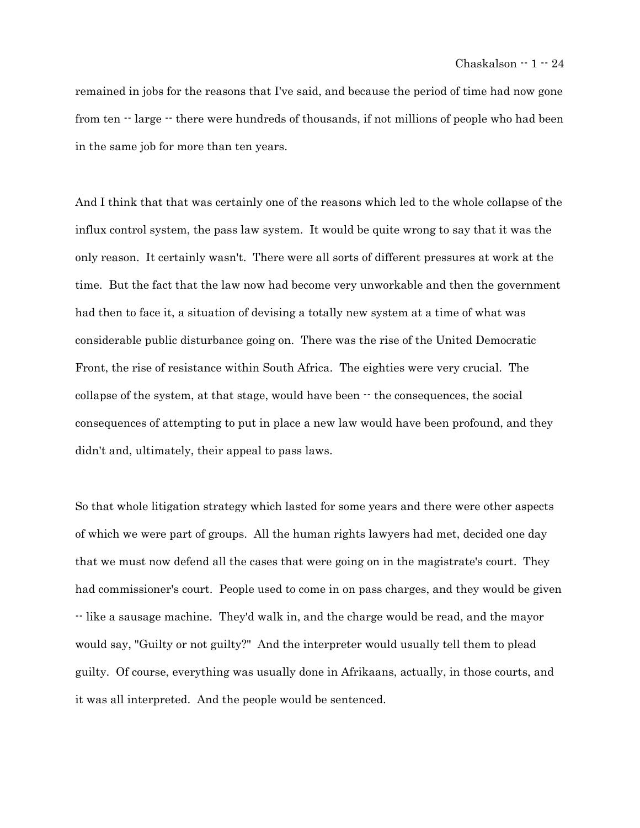remained in jobs for the reasons that I've said, and because the period of time had now gone from ten  $\cdot$  large  $\cdot$  there were hundreds of thousands, if not millions of people who had been in the same job for more than ten years.

And I think that that was certainly one of the reasons which led to the whole collapse of the influx control system, the pass law system. It would be quite wrong to say that it was the only reason. It certainly wasn't. There were all sorts of different pressures at work at the time. But the fact that the law now had become very unworkable and then the government had then to face it, a situation of devising a totally new system at a time of what was considerable public disturbance going on. There was the rise of the United Democratic Front, the rise of resistance within South Africa. The eighties were very crucial. The collapse of the system, at that stage, would have been  $-$  the consequences, the social consequences of attempting to put in place a new law would have been profound, and they didn't and, ultimately, their appeal to pass laws.

So that whole litigation strategy which lasted for some years and there were other aspects of which we were part of groups. All the human rights lawyers had met, decided one day that we must now defend all the cases that were going on in the magistrate's court. They had commissioner's court. People used to come in on pass charges, and they would be given -- like a sausage machine. They'd walk in, and the charge would be read, and the mayor would say, "Guilty or not guilty?" And the interpreter would usually tell them to plead guilty. Of course, everything was usually done in Afrikaans, actually, in those courts, and it was all interpreted. And the people would be sentenced.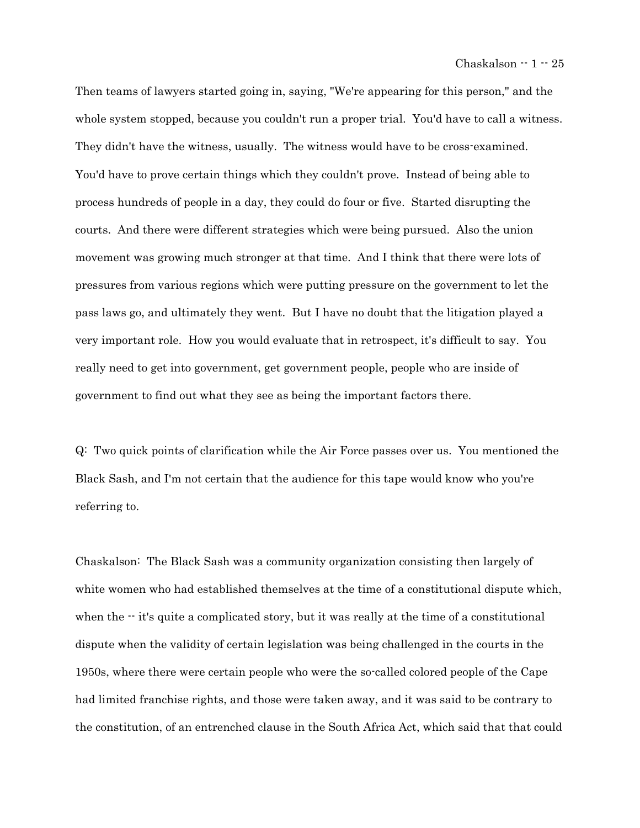Then teams of lawyers started going in, saying, "We're appearing for this person," and the whole system stopped, because you couldn't run a proper trial. You'd have to call a witness. They didn't have the witness, usually. The witness would have to be cross-examined. You'd have to prove certain things which they couldn't prove. Instead of being able to process hundreds of people in a day, they could do four or five. Started disrupting the courts. And there were different strategies which were being pursued. Also the union movement was growing much stronger at that time. And I think that there were lots of pressures from various regions which were putting pressure on the government to let the pass laws go, and ultimately they went. But I have no doubt that the litigation played a very important role. How you would evaluate that in retrospect, it's difficult to say. You really need to get into government, get government people, people who are inside of government to find out what they see as being the important factors there.

Q: Two quick points of clarification while the Air Force passes over us. You mentioned the Black Sash, and I'm not certain that the audience for this tape would know who you're referring to.

Chaskalson: The Black Sash was a community organization consisting then largely of white women who had established themselves at the time of a constitutional dispute which, when the  $\cdot$  it's quite a complicated story, but it was really at the time of a constitutional dispute when the validity of certain legislation was being challenged in the courts in the 1950s, where there were certain people who were the so-called colored people of the Cape had limited franchise rights, and those were taken away, and it was said to be contrary to the constitution, of an entrenched clause in the South Africa Act, which said that that could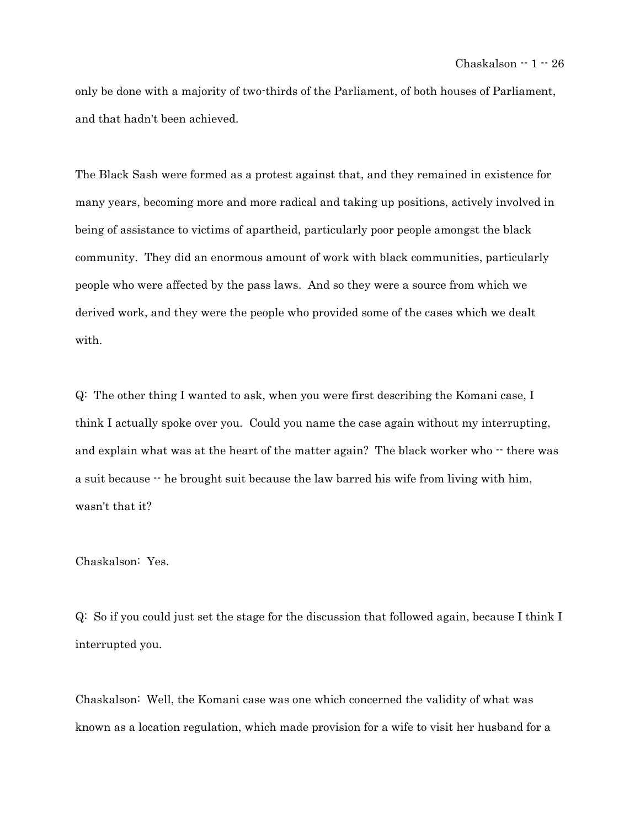only be done with a majority of two-thirds of the Parliament, of both houses of Parliament, and that hadn't been achieved.

The Black Sash were formed as a protest against that, and they remained in existence for many years, becoming more and more radical and taking up positions, actively involved in being of assistance to victims of apartheid, particularly poor people amongst the black community. They did an enormous amount of work with black communities, particularly people who were affected by the pass laws. And so they were a source from which we derived work, and they were the people who provided some of the cases which we dealt with.

Q: The other thing I wanted to ask, when you were first describing the Komani case, I think I actually spoke over you. Could you name the case again without my interrupting, and explain what was at the heart of the matter again? The black worker who  $\cdot\cdot$  there was a suit because  $\cdot$  he brought suit because the law barred his wife from living with him, wasn't that it?

Chaskalson: Yes.

Q: So if you could just set the stage for the discussion that followed again, because I think I interrupted you.

Chaskalson: Well, the Komani case was one which concerned the validity of what was known as a location regulation, which made provision for a wife to visit her husband for a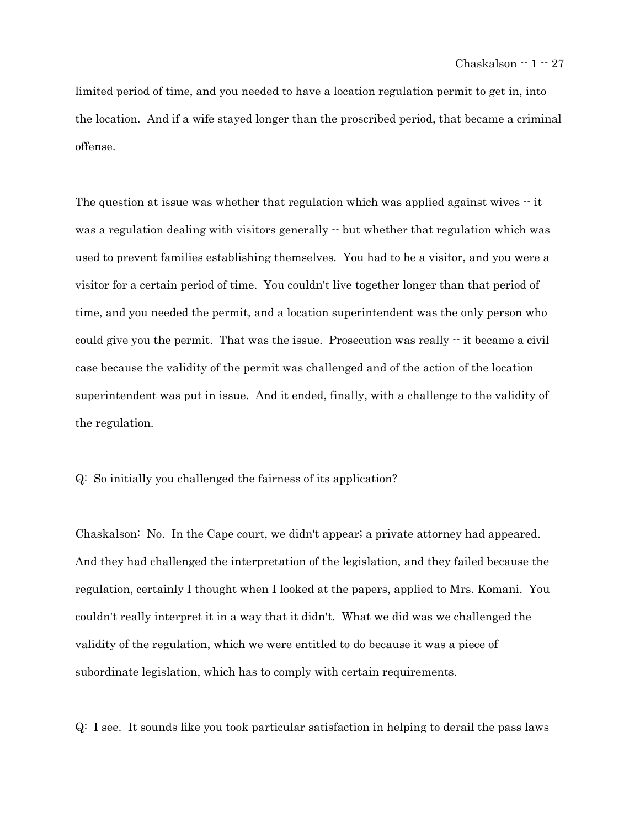limited period of time, and you needed to have a location regulation permit to get in, into the location. And if a wife stayed longer than the proscribed period, that became a criminal offense.

The question at issue was whether that regulation which was applied against wives  $\cdot$  it was a regulation dealing with visitors generally  $\cdot$  but whether that regulation which was used to prevent families establishing themselves. You had to be a visitor, and you were a visitor for a certain period of time. You couldn't live together longer than that period of time, and you needed the permit, and a location superintendent was the only person who could give you the permit. That was the issue. Prosecution was really -- it became a civil case because the validity of the permit was challenged and of the action of the location superintendent was put in issue. And it ended, finally, with a challenge to the validity of the regulation.

Q: So initially you challenged the fairness of its application?

Chaskalson: No. In the Cape court, we didn't appear; a private attorney had appeared. And they had challenged the interpretation of the legislation, and they failed because the regulation, certainly I thought when I looked at the papers, applied to Mrs. Komani. You couldn't really interpret it in a way that it didn't. What we did was we challenged the validity of the regulation, which we were entitled to do because it was a piece of subordinate legislation, which has to comply with certain requirements.

Q: I see. It sounds like you took particular satisfaction in helping to derail the pass laws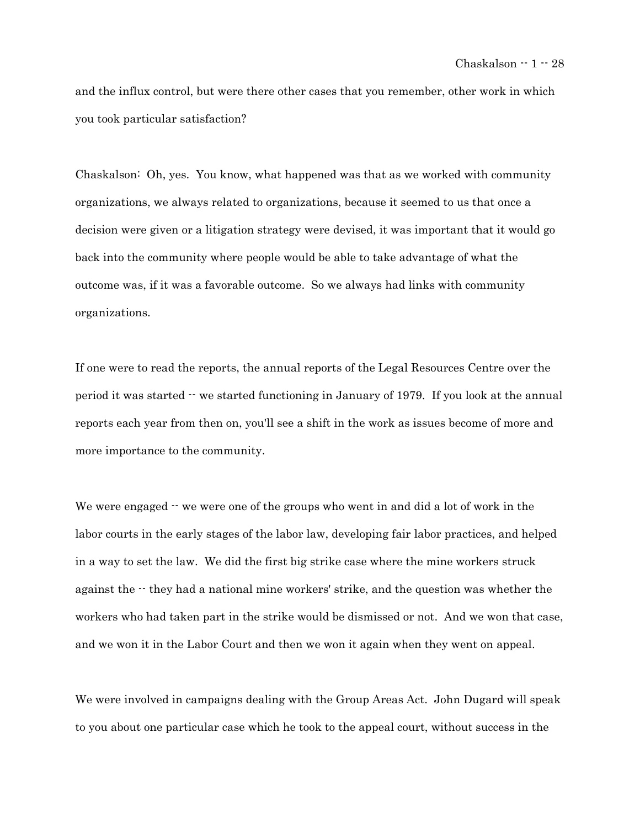and the influx control, but were there other cases that you remember, other work in which you took particular satisfaction?

Chaskalson: Oh, yes. You know, what happened was that as we worked with community organizations, we always related to organizations, because it seemed to us that once a decision were given or a litigation strategy were devised, it was important that it would go back into the community where people would be able to take advantage of what the outcome was, if it was a favorable outcome. So we always had links with community organizations.

If one were to read the reports, the annual reports of the Legal Resources Centre over the period it was started -- we started functioning in January of 1979. If you look at the annual reports each year from then on, you'll see a shift in the work as issues become of more and more importance to the community.

We were engaged  $\cdot$  we were one of the groups who went in and did a lot of work in the labor courts in the early stages of the labor law, developing fair labor practices, and helped in a way to set the law. We did the first big strike case where the mine workers struck against the  $-$  they had a national mine workers' strike, and the question was whether the workers who had taken part in the strike would be dismissed or not. And we won that case, and we won it in the Labor Court and then we won it again when they went on appeal.

We were involved in campaigns dealing with the Group Areas Act. John Dugard will speak to you about one particular case which he took to the appeal court, without success in the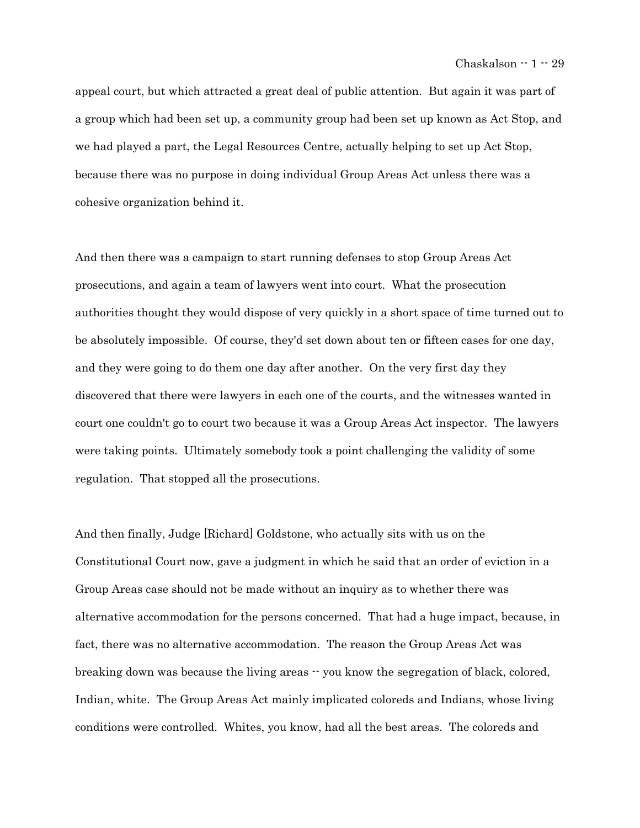appeal court, but which attracted a great deal of public attention. But again it was part of a group which had been set up, a community group had been set up known as Act Stop, and we had played a part, the Legal Resources Centre, actually helping to set up Act Stop, because there was no purpose in doing individual Group Areas Act unless there was a cohesive organization behind it.

And then there was a campaign to start running defenses to stop Group Areas Act prosecutions, and again a team of lawyers went into court. What the prosecution authorities thought they would dispose of very quickly in a short space of time turned out to be absolutely impossible. Of course, they'd set down about ten or fifteen cases for one day, and they were going to do them one day after another. On the very first day they discovered that there were lawyers in each one of the courts, and the witnesses wanted in court one couldn't go to court two because it was a Group Areas Act inspector. The lawyers were taking points. Ultimately somebody took a point challenging the validity of some regulation. That stopped all the prosecutions.

And then finally, Judge [Richard] Goldstone, who actually sits with us on the Constitutional Court now, gave a judgment in which he said that an order of eviction in a Group Areas case should not be made without an inquiry as to whether there was alternative accommodation for the persons concerned. That had a huge impact, because, in fact, there was no alternative accommodation. The reason the Group Areas Act was breaking down was because the living areas -- you know the segregation of black, colored, Indian, white. The Group Areas Act mainly implicated coloreds and Indians, whose living conditions were controlled. Whites, you know, had all the best areas. The coloreds and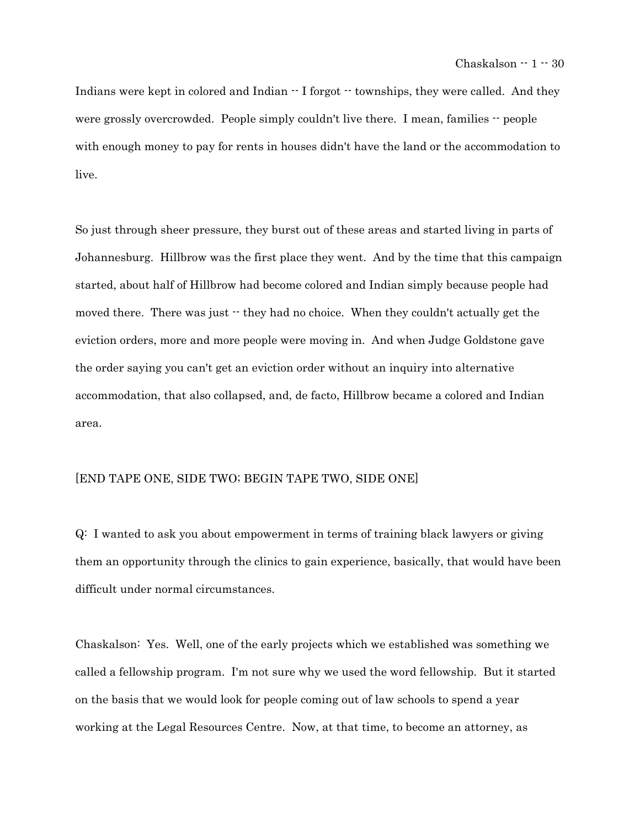Indians were kept in colored and Indian  $-$  I forgot  $-$  townships, they were called. And they were grossly overcrowded. People simply couldn't live there. I mean, families  $\cdot \cdot$  people with enough money to pay for rents in houses didn't have the land or the accommodation to live.

So just through sheer pressure, they burst out of these areas and started living in parts of Johannesburg. Hillbrow was the first place they went. And by the time that this campaign started, about half of Hillbrow had become colored and Indian simply because people had moved there. There was just  $\cdot$  they had no choice. When they couldn't actually get the eviction orders, more and more people were moving in. And when Judge Goldstone gave the order saying you can't get an eviction order without an inquiry into alternative accommodation, that also collapsed, and, de facto, Hillbrow became a colored and Indian area.

### [END TAPE ONE, SIDE TWO; BEGIN TAPE TWO, SIDE ONE]

Q: I wanted to ask you about empowerment in terms of training black lawyers or giving them an opportunity through the clinics to gain experience, basically, that would have been difficult under normal circumstances.

Chaskalson: Yes. Well, one of the early projects which we established was something we called a fellowship program. I'm not sure why we used the word fellowship. But it started on the basis that we would look for people coming out of law schools to spend a year working at the Legal Resources Centre. Now, at that time, to become an attorney, as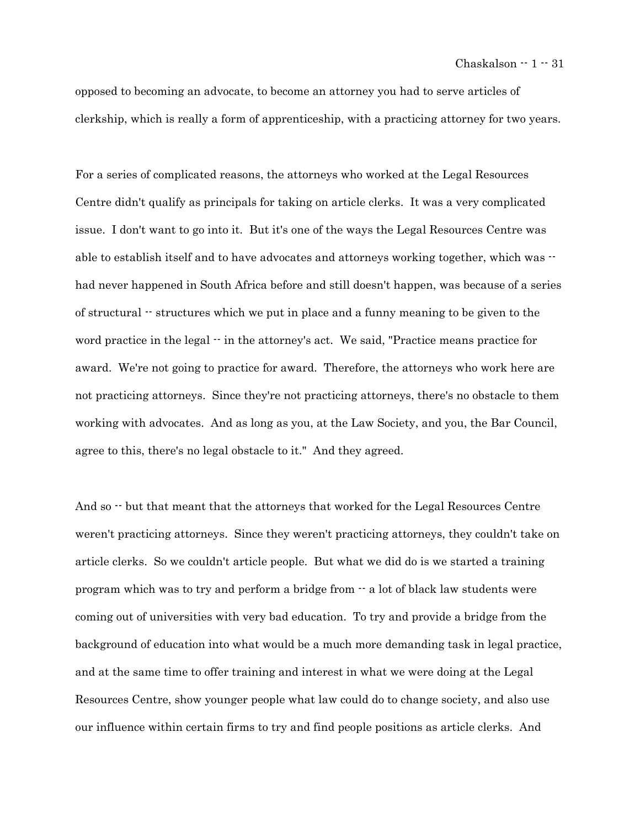opposed to becoming an advocate, to become an attorney you had to serve articles of clerkship, which is really a form of apprenticeship, with a practicing attorney for two years.

For a series of complicated reasons, the attorneys who worked at the Legal Resources Centre didn't qualify as principals for taking on article clerks. It was a very complicated issue. I don't want to go into it. But it's one of the ways the Legal Resources Centre was able to establish itself and to have advocates and attorneys working together, which was  $$ had never happened in South Africa before and still doesn't happen, was because of a series of structural -- structures which we put in place and a funny meaning to be given to the word practice in the legal -- in the attorney's act. We said, "Practice means practice for award. We're not going to practice for award. Therefore, the attorneys who work here are not practicing attorneys. Since they're not practicing attorneys, there's no obstacle to them working with advocates. And as long as you, at the Law Society, and you, the Bar Council, agree to this, there's no legal obstacle to it." And they agreed.

And so  $\cdot$  but that meant that the attorneys that worked for the Legal Resources Centre weren't practicing attorneys. Since they weren't practicing attorneys, they couldn't take on article clerks. So we couldn't article people. But what we did do is we started a training program which was to try and perform a bridge from -- a lot of black law students were coming out of universities with very bad education. To try and provide a bridge from the background of education into what would be a much more demanding task in legal practice, and at the same time to offer training and interest in what we were doing at the Legal Resources Centre, show younger people what law could do to change society, and also use our influence within certain firms to try and find people positions as article clerks. And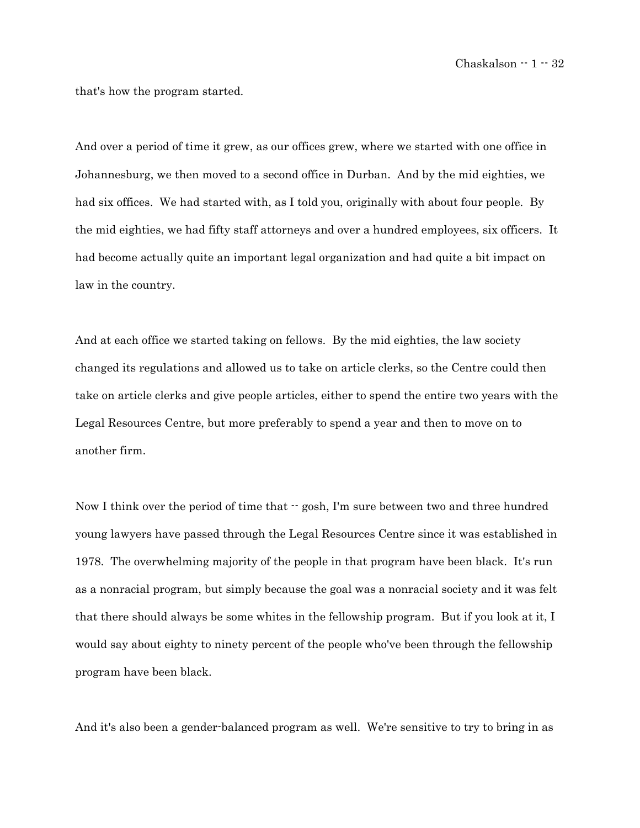that's how the program started.

And over a period of time it grew, as our offices grew, where we started with one office in Johannesburg, we then moved to a second office in Durban. And by the mid eighties, we had six offices. We had started with, as I told you, originally with about four people. By the mid eighties, we had fifty staff attorneys and over a hundred employees, six officers. It had become actually quite an important legal organization and had quite a bit impact on law in the country.

And at each office we started taking on fellows. By the mid eighties, the law society changed its regulations and allowed us to take on article clerks, so the Centre could then take on article clerks and give people articles, either to spend the entire two years with the Legal Resources Centre, but more preferably to spend a year and then to move on to another firm.

Now I think over the period of time that  $\cdot$  gosh, I'm sure between two and three hundred young lawyers have passed through the Legal Resources Centre since it was established in 1978. The overwhelming majority of the people in that program have been black. It's run as a nonracial program, but simply because the goal was a nonracial society and it was felt that there should always be some whites in the fellowship program. But if you look at it, I would say about eighty to ninety percent of the people who've been through the fellowship program have been black.

And it's also been a gender-balanced program as well. We're sensitive to try to bring in as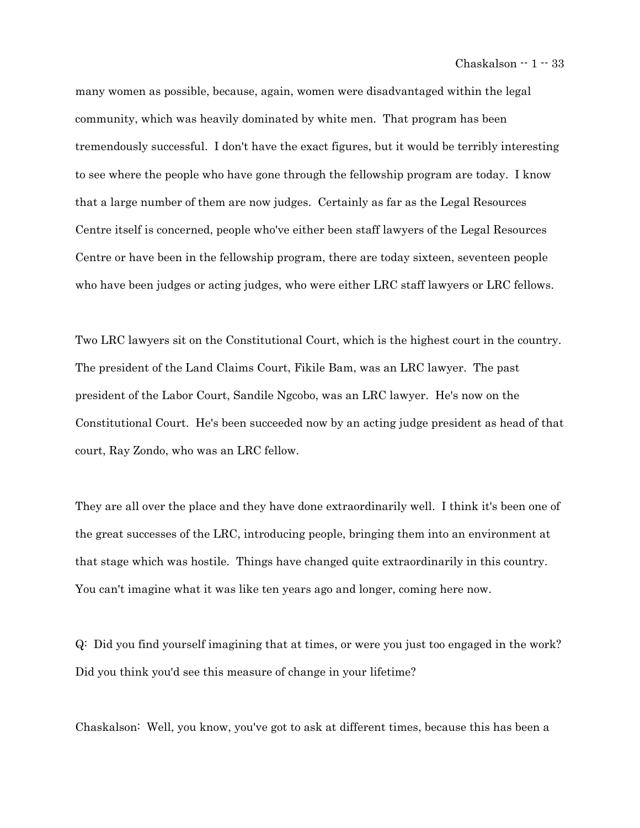many women as possible, because, again, women were disadvantaged within the legal community, which was heavily dominated by white men. That program has been tremendously successful. I don't have the exact figures, but it would be terribly interesting to see where the people who have gone through the fellowship program are today. I know that a large number of them are now judges. Certainly as far as the Legal Resources Centre itself is concerned, people who've either been staff lawyers of the Legal Resources Centre or have been in the fellowship program, there are today sixteen, seventeen people who have been judges or acting judges, who were either LRC staff lawyers or LRC fellows.

Two LRC lawyers sit on the Constitutional Court, which is the highest court in the country. The president of the Land Claims Court, Fikile Bam, was an LRC lawyer. The past president of the Labor Court, Sandile Ngcobo, was an LRC lawyer. He's now on the Constitutional Court. He's been succeeded now by an acting judge president as head of that court, Ray Zondo, who was an LRC fellow.

They are all over the place and they have done extraordinarily well. I think it's been one of the great successes of the LRC, introducing people, bringing them into an environment at that stage which was hostile. Things have changed quite extraordinarily in this country. You can't imagine what it was like ten years ago and longer, coming here now.

Q: Did you find yourself imagining that at times, or were you just too engaged in the work? Did you think you'd see this measure of change in your lifetime?

Chaskalson: Well, you know, you've got to ask at different times, because this has been a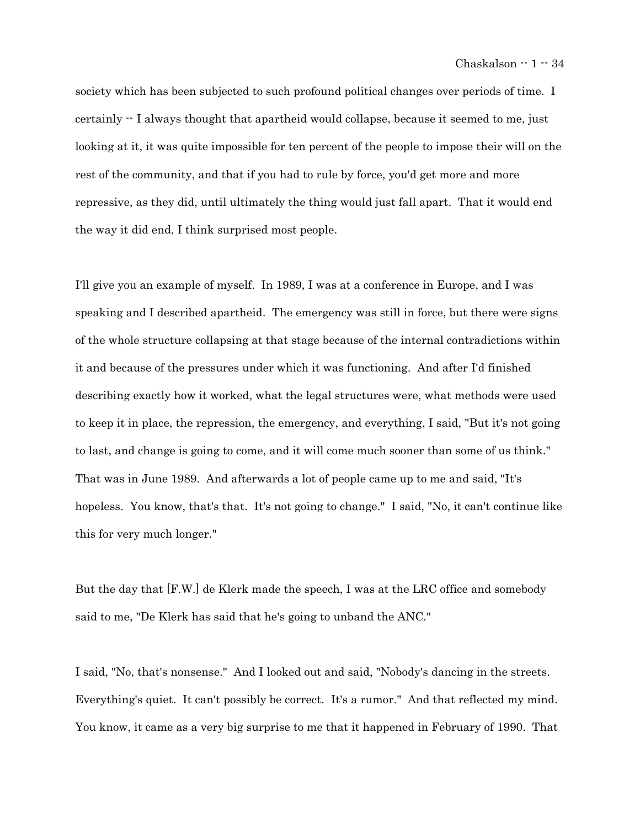society which has been subjected to such profound political changes over periods of time. I certainly -- I always thought that apartheid would collapse, because it seemed to me, just looking at it, it was quite impossible for ten percent of the people to impose their will on the rest of the community, and that if you had to rule by force, you'd get more and more repressive, as they did, until ultimately the thing would just fall apart. That it would end the way it did end, I think surprised most people.

I'll give you an example of myself. In 1989, I was at a conference in Europe, and I was speaking and I described apartheid. The emergency was still in force, but there were signs of the whole structure collapsing at that stage because of the internal contradictions within it and because of the pressures under which it was functioning. And after I'd finished describing exactly how it worked, what the legal structures were, what methods were used to keep it in place, the repression, the emergency, and everything, I said, "But it's not going to last, and change is going to come, and it will come much sooner than some of us think." That was in June 1989. And afterwards a lot of people came up to me and said, "It's hopeless. You know, that's that. It's not going to change." I said, "No, it can't continue like this for very much longer."

But the day that [F.W.] de Klerk made the speech, I was at the LRC office and somebody said to me, "De Klerk has said that he's going to unband the ANC."

I said, "No, that's nonsense." And I looked out and said, "Nobody's dancing in the streets. Everything's quiet. It can't possibly be correct. It's a rumor." And that reflected my mind. You know, it came as a very big surprise to me that it happened in February of 1990. That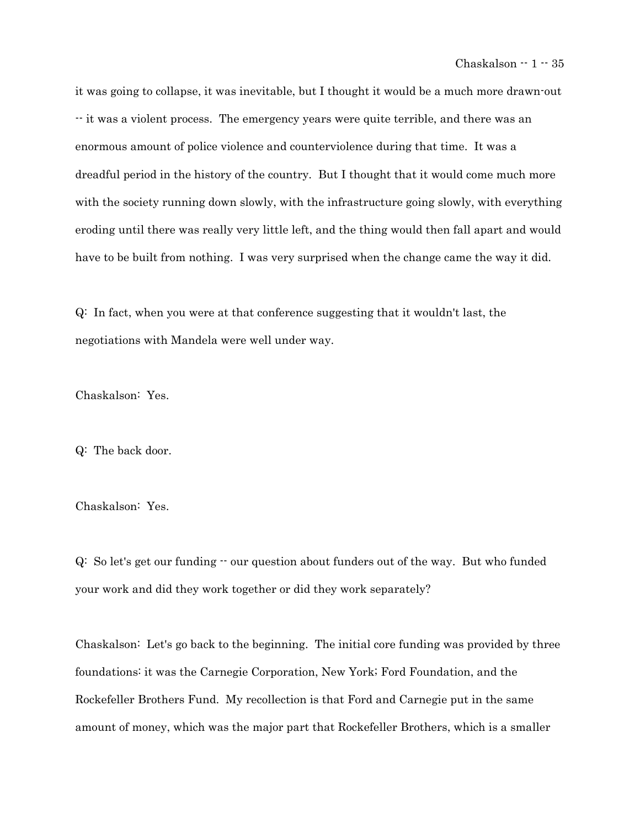it was going to collapse, it was inevitable, but I thought it would be a much more drawn-out -- it was a violent process. The emergency years were quite terrible, and there was an enormous amount of police violence and counterviolence during that time. It was a dreadful period in the history of the country. But I thought that it would come much more with the society running down slowly, with the infrastructure going slowly, with everything eroding until there was really very little left, and the thing would then fall apart and would have to be built from nothing. I was very surprised when the change came the way it did.

Q: In fact, when you were at that conference suggesting that it wouldn't last, the negotiations with Mandela were well under way.

Chaskalson: Yes.

Q: The back door.

Chaskalson: Yes.

 $Q:$  So let's get our funding  $\cdot \cdot$  our question about funders out of the way. But who funded your work and did they work together or did they work separately?

Chaskalson: Let's go back to the beginning. The initial core funding was provided by three foundations: it was the Carnegie Corporation, New York; Ford Foundation, and the Rockefeller Brothers Fund. My recollection is that Ford and Carnegie put in the same amount of money, which was the major part that Rockefeller Brothers, which is a smaller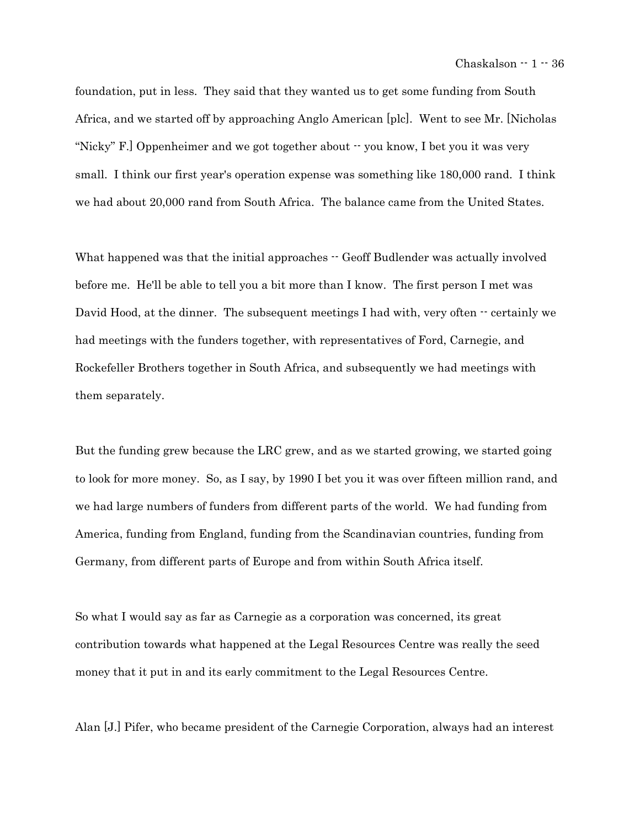foundation, put in less. They said that they wanted us to get some funding from South Africa, and we started off by approaching Anglo American [plc]. Went to see Mr. [Nicholas "Nicky" F.] Oppenheimer and we got together about  $\cdot$  you know, I bet you it was very small. I think our first year's operation expense was something like 180,000 rand. I think we had about 20,000 rand from South Africa. The balance came from the United States.

What happened was that the initial approaches  $-$  Geoff Budlender was actually involved before me. He'll be able to tell you a bit more than I know. The first person I met was David Hood, at the dinner. The subsequent meetings I had with, very often  $\cdot$  certainly we had meetings with the funders together, with representatives of Ford, Carnegie, and Rockefeller Brothers together in South Africa, and subsequently we had meetings with them separately.

But the funding grew because the LRC grew, and as we started growing, we started going to look for more money. So, as I say, by 1990 I bet you it was over fifteen million rand, and we had large numbers of funders from different parts of the world. We had funding from America, funding from England, funding from the Scandinavian countries, funding from Germany, from different parts of Europe and from within South Africa itself.

So what I would say as far as Carnegie as a corporation was concerned, its great contribution towards what happened at the Legal Resources Centre was really the seed money that it put in and its early commitment to the Legal Resources Centre.

Alan [J.] Pifer, who became president of the Carnegie Corporation, always had an interest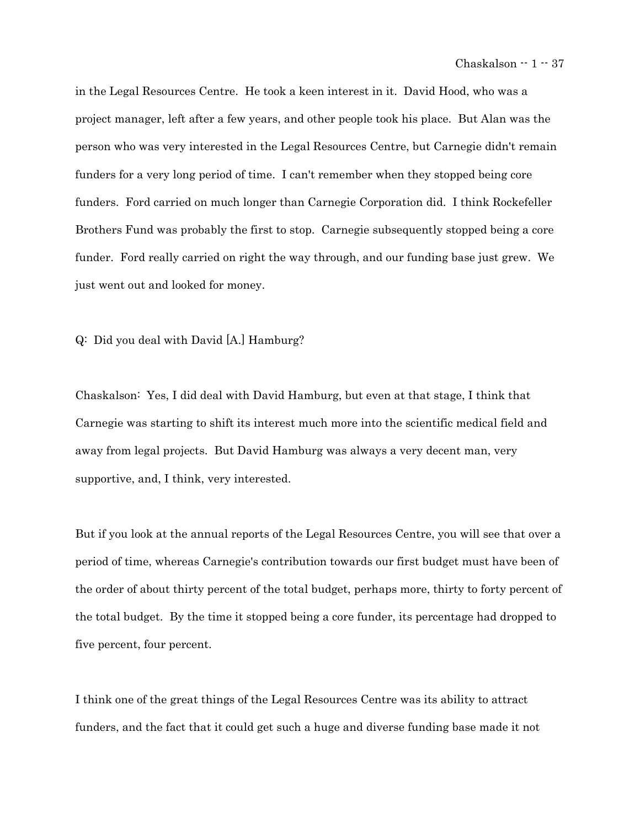in the Legal Resources Centre. He took a keen interest in it. David Hood, who was a project manager, left after a few years, and other people took his place. But Alan was the person who was very interested in the Legal Resources Centre, but Carnegie didn't remain funders for a very long period of time. I can't remember when they stopped being core funders. Ford carried on much longer than Carnegie Corporation did. I think Rockefeller Brothers Fund was probably the first to stop. Carnegie subsequently stopped being a core funder. Ford really carried on right the way through, and our funding base just grew. We just went out and looked for money.

Q: Did you deal with David [A.] Hamburg?

Chaskalson: Yes, I did deal with David Hamburg, but even at that stage, I think that Carnegie was starting to shift its interest much more into the scientific medical field and away from legal projects. But David Hamburg was always a very decent man, very supportive, and, I think, very interested.

But if you look at the annual reports of the Legal Resources Centre, you will see that over a period of time, whereas Carnegie's contribution towards our first budget must have been of the order of about thirty percent of the total budget, perhaps more, thirty to forty percent of the total budget. By the time it stopped being a core funder, its percentage had dropped to five percent, four percent.

I think one of the great things of the Legal Resources Centre was its ability to attract funders, and the fact that it could get such a huge and diverse funding base made it not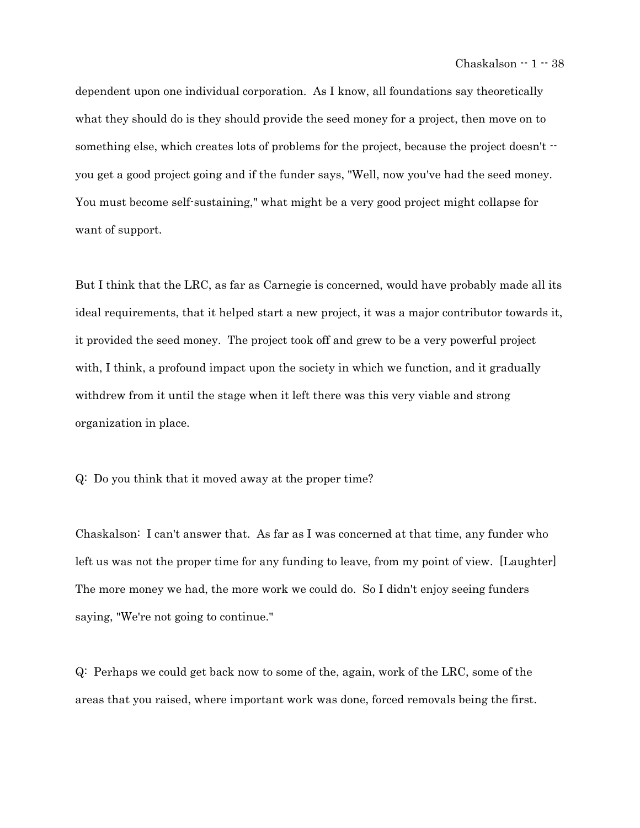dependent upon one individual corporation. As I know, all foundations say theoretically what they should do is they should provide the seed money for a project, then move on to something else, which creates lots of problems for the project, because the project doesn't  $$ you get a good project going and if the funder says, "Well, now you've had the seed money. You must become self-sustaining," what might be a very good project might collapse for want of support.

But I think that the LRC, as far as Carnegie is concerned, would have probably made all its ideal requirements, that it helped start a new project, it was a major contributor towards it, it provided the seed money. The project took off and grew to be a very powerful project with, I think, a profound impact upon the society in which we function, and it gradually withdrew from it until the stage when it left there was this very viable and strong organization in place.

Q: Do you think that it moved away at the proper time?

Chaskalson: I can't answer that. As far as I was concerned at that time, any funder who left us was not the proper time for any funding to leave, from my point of view. [Laughter] The more money we had, the more work we could do. So I didn't enjoy seeing funders saying, "We're not going to continue."

Q: Perhaps we could get back now to some of the, again, work of the LRC, some of the areas that you raised, where important work was done, forced removals being the first.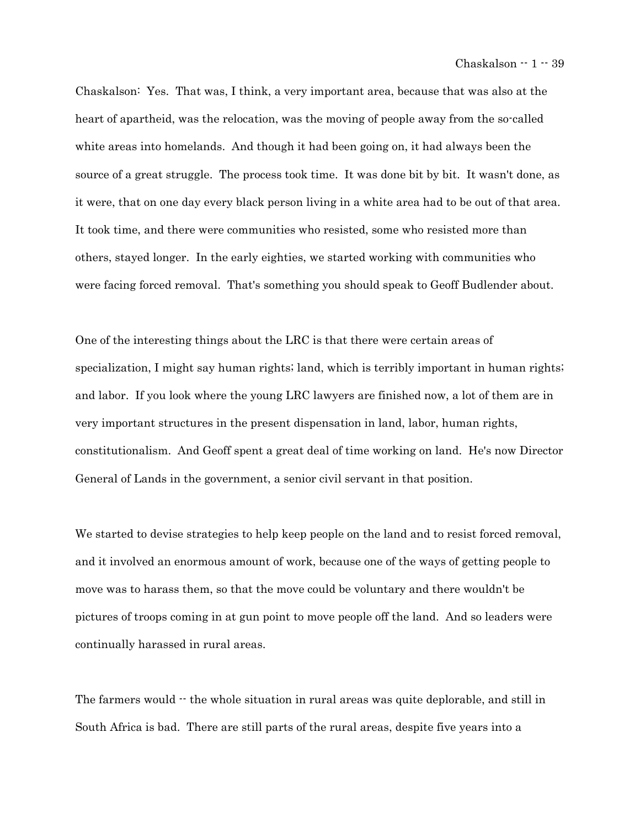Chaskalson: Yes. That was, I think, a very important area, because that was also at the heart of apartheid, was the relocation, was the moving of people away from the so-called white areas into homelands. And though it had been going on, it had always been the source of a great struggle. The process took time. It was done bit by bit. It wasn't done, as it were, that on one day every black person living in a white area had to be out of that area. It took time, and there were communities who resisted, some who resisted more than others, stayed longer. In the early eighties, we started working with communities who were facing forced removal. That's something you should speak to Geoff Budlender about.

One of the interesting things about the LRC is that there were certain areas of specialization, I might say human rights; land, which is terribly important in human rights; and labor. If you look where the young LRC lawyers are finished now, a lot of them are in very important structures in the present dispensation in land, labor, human rights, constitutionalism. And Geoff spent a great deal of time working on land. He's now Director General of Lands in the government, a senior civil servant in that position.

We started to devise strategies to help keep people on the land and to resist forced removal, and it involved an enormous amount of work, because one of the ways of getting people to move was to harass them, so that the move could be voluntary and there wouldn't be pictures of troops coming in at gun point to move people off the land. And so leaders were continually harassed in rural areas.

The farmers would  $\cdot$  the whole situation in rural areas was quite deplorable, and still in South Africa is bad. There are still parts of the rural areas, despite five years into a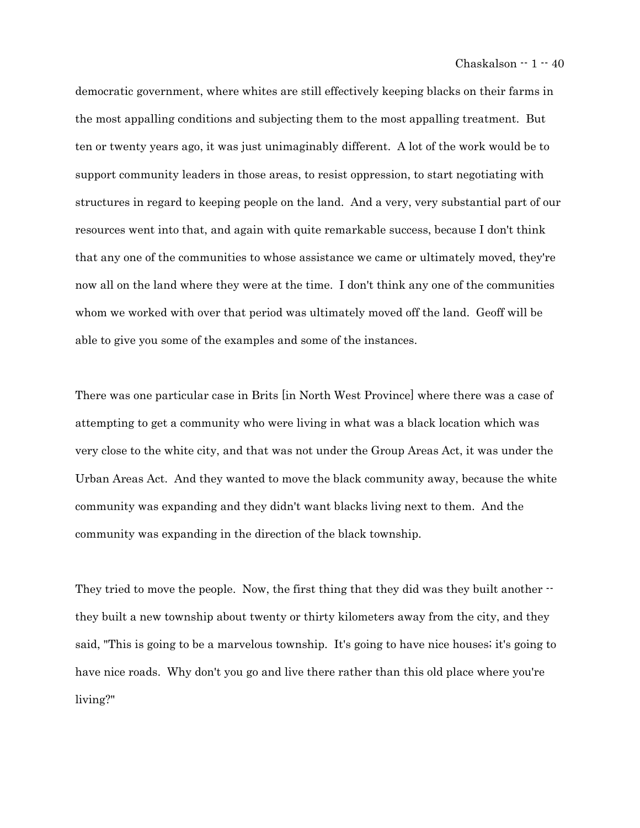democratic government, where whites are still effectively keeping blacks on their farms in the most appalling conditions and subjecting them to the most appalling treatment. But ten or twenty years ago, it was just unimaginably different. A lot of the work would be to support community leaders in those areas, to resist oppression, to start negotiating with structures in regard to keeping people on the land. And a very, very substantial part of our resources went into that, and again with quite remarkable success, because I don't think that any one of the communities to whose assistance we came or ultimately moved, they're now all on the land where they were at the time. I don't think any one of the communities whom we worked with over that period was ultimately moved off the land. Geoff will be able to give you some of the examples and some of the instances.

There was one particular case in Brits [in North West Province] where there was a case of attempting to get a community who were living in what was a black location which was very close to the white city, and that was not under the Group Areas Act, it was under the Urban Areas Act. And they wanted to move the black community away, because the white community was expanding and they didn't want blacks living next to them. And the community was expanding in the direction of the black township.

They tried to move the people. Now, the first thing that they did was they built another  $\cdot$ they built a new township about twenty or thirty kilometers away from the city, and they said, "This is going to be a marvelous township. It's going to have nice houses; it's going to have nice roads. Why don't you go and live there rather than this old place where you're living?"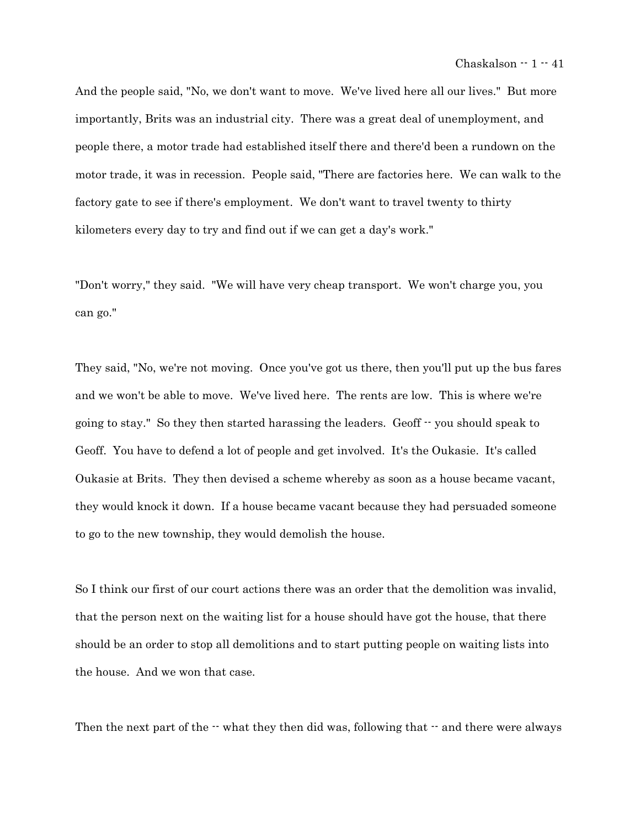And the people said, "No, we don't want to move. We've lived here all our lives." But more importantly, Brits was an industrial city. There was a great deal of unemployment, and people there, a motor trade had established itself there and there'd been a rundown on the motor trade, it was in recession. People said, "There are factories here. We can walk to the factory gate to see if there's employment. We don't want to travel twenty to thirty kilometers every day to try and find out if we can get a day's work."

"Don't worry," they said. "We will have very cheap transport. We won't charge you, you can go."

They said, "No, we're not moving. Once you've got us there, then you'll put up the bus fares and we won't be able to move. We've lived here. The rents are low. This is where we're going to stay." So they then started harassing the leaders. Geoff -- you should speak to Geoff. You have to defend a lot of people and get involved. It's the Oukasie. It's called Oukasie at Brits. They then devised a scheme whereby as soon as a house became vacant, they would knock it down. If a house became vacant because they had persuaded someone to go to the new township, they would demolish the house.

So I think our first of our court actions there was an order that the demolition was invalid, that the person next on the waiting list for a house should have got the house, that there should be an order to stop all demolitions and to start putting people on waiting lists into the house. And we won that case.

Then the next part of the  $\cdot\cdot$  what they then did was, following that  $\cdot\cdot$  and there were always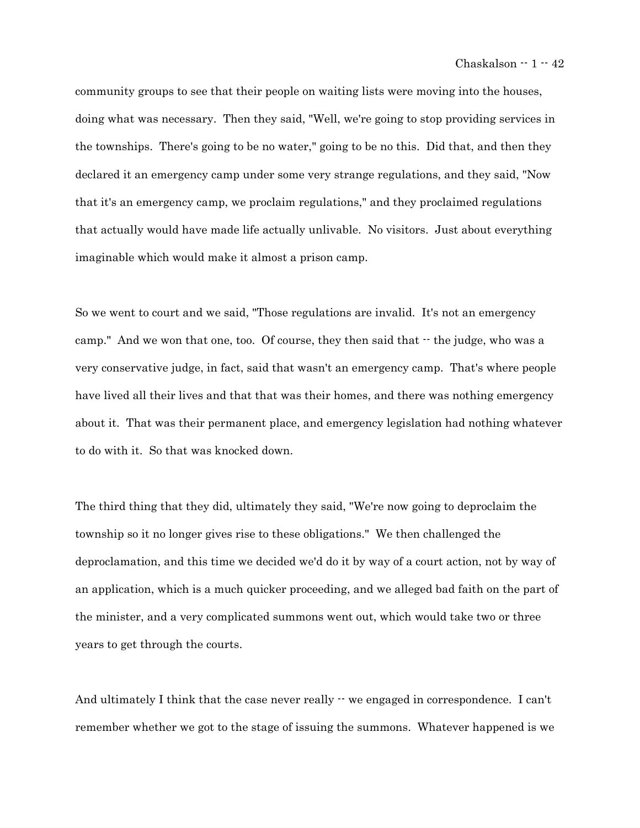community groups to see that their people on waiting lists were moving into the houses, doing what was necessary. Then they said, "Well, we're going to stop providing services in the townships. There's going to be no water," going to be no this. Did that, and then they declared it an emergency camp under some very strange regulations, and they said, "Now that it's an emergency camp, we proclaim regulations," and they proclaimed regulations that actually would have made life actually unlivable. No visitors. Just about everything imaginable which would make it almost a prison camp.

So we went to court and we said, "Those regulations are invalid. It's not an emergency camp." And we won that one, too. Of course, they then said that  $\cdot$  the judge, who was a very conservative judge, in fact, said that wasn't an emergency camp. That's where people have lived all their lives and that that was their homes, and there was nothing emergency about it. That was their permanent place, and emergency legislation had nothing whatever to do with it. So that was knocked down.

The third thing that they did, ultimately they said, "We're now going to deproclaim the township so it no longer gives rise to these obligations." We then challenged the deproclamation, and this time we decided we'd do it by way of a court action, not by way of an application, which is a much quicker proceeding, and we alleged bad faith on the part of the minister, and a very complicated summons went out, which would take two or three years to get through the courts.

And ultimately I think that the case never really  $\cdot\cdot$  we engaged in correspondence. I can't remember whether we got to the stage of issuing the summons. Whatever happened is we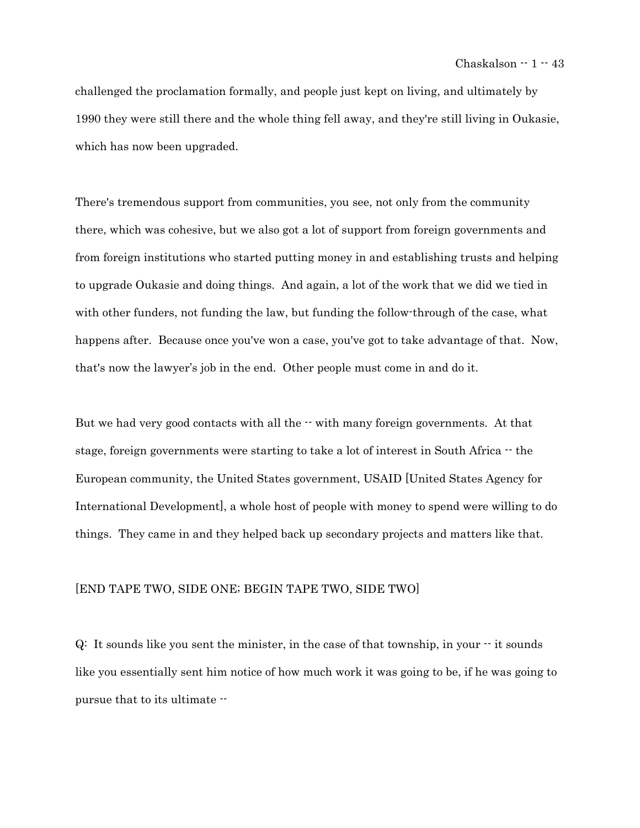challenged the proclamation formally, and people just kept on living, and ultimately by 1990 they were still there and the whole thing fell away, and they're still living in Oukasie, which has now been upgraded.

There's tremendous support from communities, you see, not only from the community there, which was cohesive, but we also got a lot of support from foreign governments and from foreign institutions who started putting money in and establishing trusts and helping to upgrade Oukasie and doing things. And again, a lot of the work that we did we tied in with other funders, not funding the law, but funding the follow-through of the case, what happens after. Because once you've won a case, you've got to take advantage of that. Now, that's now the lawyer's job in the end. Other people must come in and do it.

But we had very good contacts with all the  $\cdot$  with many foreign governments. At that stage, foreign governments were starting to take a lot of interest in South Africa  $-$  the European community, the United States government, USAID [United States Agency for International Development], a whole host of people with money to spend were willing to do things. They came in and they helped back up secondary projects and matters like that.

# [END TAPE TWO, SIDE ONE; BEGIN TAPE TWO, SIDE TWO]

 $Q:$  It sounds like you sent the minister, in the case of that township, in your  $\cdot$  it sounds like you essentially sent him notice of how much work it was going to be, if he was going to pursue that to its ultimate --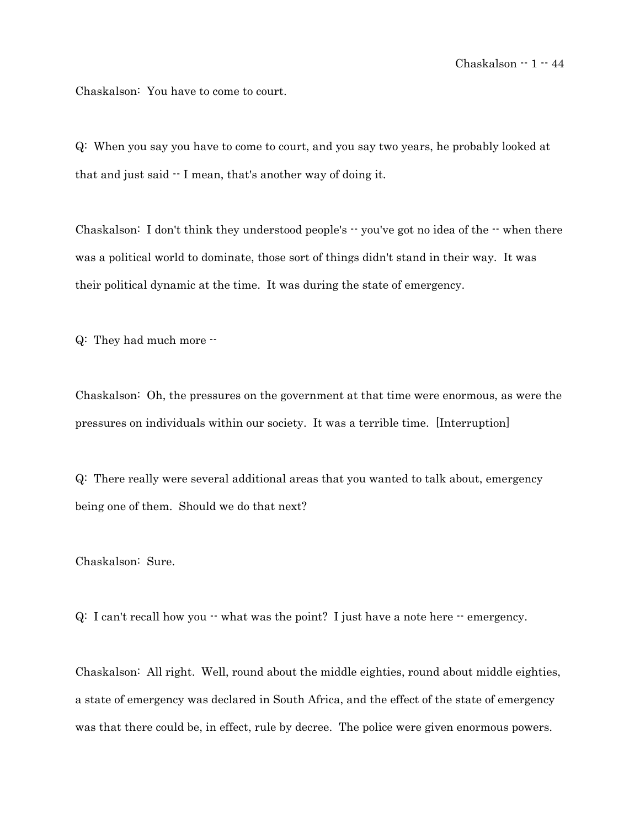Chaskalson: You have to come to court.

Q: When you say you have to come to court, and you say two years, he probably looked at that and just said -- I mean, that's another way of doing it.

Chaskalson: I don't think they understood people's -- you've got no idea of the -- when there was a political world to dominate, those sort of things didn't stand in their way. It was their political dynamic at the time. It was during the state of emergency.

Q: They had much more --

Chaskalson: Oh, the pressures on the government at that time were enormous, as were the pressures on individuals within our society. It was a terrible time. [Interruption]

Q: There really were several additional areas that you wanted to talk about, emergency being one of them. Should we do that next?

Chaskalson: Sure.

 $Q: I can't recall how you - what was the point? I just have a note here - emergency.$ 

Chaskalson: All right. Well, round about the middle eighties, round about middle eighties, a state of emergency was declared in South Africa, and the effect of the state of emergency was that there could be, in effect, rule by decree. The police were given enormous powers.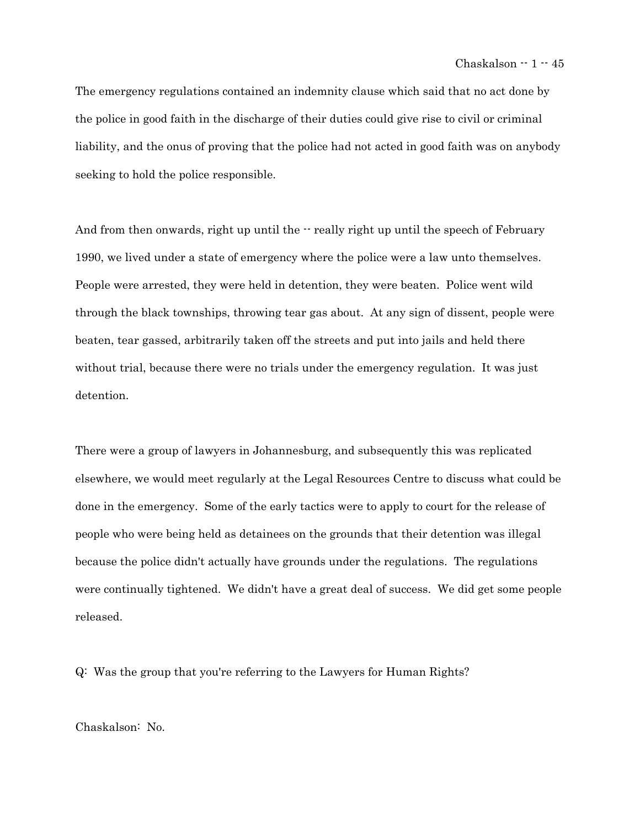The emergency regulations contained an indemnity clause which said that no act done by the police in good faith in the discharge of their duties could give rise to civil or criminal liability, and the onus of proving that the police had not acted in good faith was on anybody seeking to hold the police responsible.

And from then onwards, right up until the  $\cdot$  really right up until the speech of February 1990, we lived under a state of emergency where the police were a law unto themselves. People were arrested, they were held in detention, they were beaten. Police went wild through the black townships, throwing tear gas about. At any sign of dissent, people were beaten, tear gassed, arbitrarily taken off the streets and put into jails and held there without trial, because there were no trials under the emergency regulation. It was just detention.

There were a group of lawyers in Johannesburg, and subsequently this was replicated elsewhere, we would meet regularly at the Legal Resources Centre to discuss what could be done in the emergency. Some of the early tactics were to apply to court for the release of people who were being held as detainees on the grounds that their detention was illegal because the police didn't actually have grounds under the regulations. The regulations were continually tightened. We didn't have a great deal of success. We did get some people released.

Q: Was the group that you're referring to the Lawyers for Human Rights?

Chaskalson: No.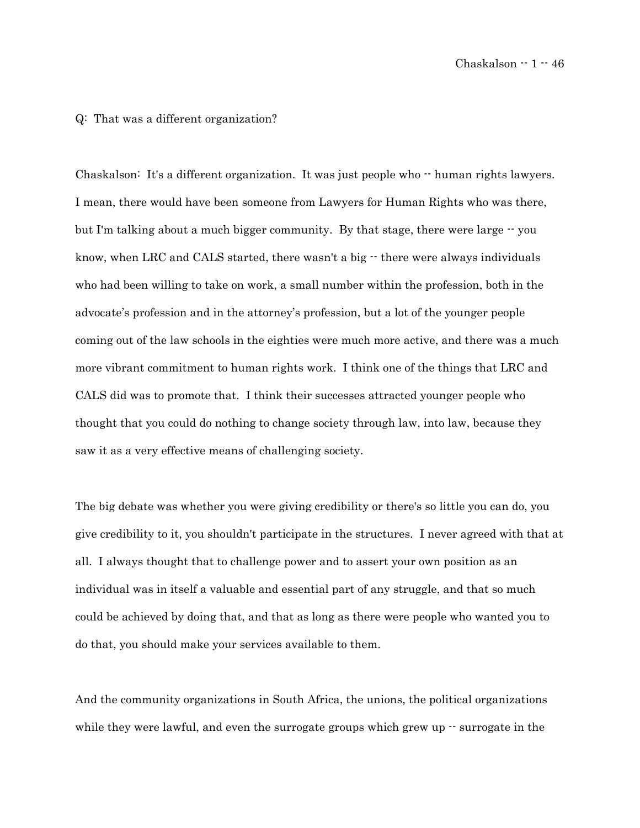#### Q: That was a different organization?

Chaskalson: It's a different organization. It was just people who -- human rights lawyers. I mean, there would have been someone from Lawyers for Human Rights who was there, but I'm talking about a much bigger community. By that stage, there were large  $\cdot \cdot$  you know, when LRC and CALS started, there wasn't a big  $\cdot$  there were always individuals who had been willing to take on work, a small number within the profession, both in the advocate's profession and in the attorney's profession, but a lot of the younger people coming out of the law schools in the eighties were much more active, and there was a much more vibrant commitment to human rights work. I think one of the things that LRC and CALS did was to promote that. I think their successes attracted younger people who thought that you could do nothing to change society through law, into law, because they saw it as a very effective means of challenging society.

The big debate was whether you were giving credibility or there's so little you can do, you give credibility to it, you shouldn't participate in the structures. I never agreed with that at all. I always thought that to challenge power and to assert your own position as an individual was in itself a valuable and essential part of any struggle, and that so much could be achieved by doing that, and that as long as there were people who wanted you to do that, you should make your services available to them.

And the community organizations in South Africa, the unions, the political organizations while they were lawful, and even the surrogate groups which grew up  $\cdot$  surrogate in the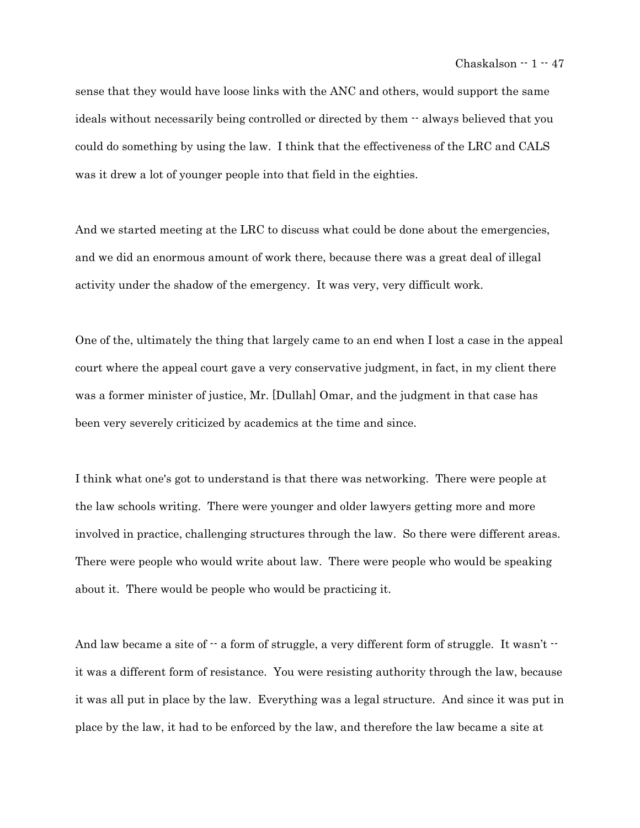sense that they would have loose links with the ANC and others, would support the same ideals without necessarily being controlled or directed by them -- always believed that you could do something by using the law. I think that the effectiveness of the LRC and CALS was it drew a lot of younger people into that field in the eighties.

And we started meeting at the LRC to discuss what could be done about the emergencies, and we did an enormous amount of work there, because there was a great deal of illegal activity under the shadow of the emergency. It was very, very difficult work.

One of the, ultimately the thing that largely came to an end when I lost a case in the appeal court where the appeal court gave a very conservative judgment, in fact, in my client there was a former minister of justice, Mr. [Dullah] Omar, and the judgment in that case has been very severely criticized by academics at the time and since.

I think what one's got to understand is that there was networking. There were people at the law schools writing. There were younger and older lawyers getting more and more involved in practice, challenging structures through the law. So there were different areas. There were people who would write about law. There were people who would be speaking about it. There would be people who would be practicing it.

And law became a site of  $-$  a form of struggle, a very different form of struggle. It wasn't  $$ it was a different form of resistance. You were resisting authority through the law, because it was all put in place by the law. Everything was a legal structure. And since it was put in place by the law, it had to be enforced by the law, and therefore the law became a site at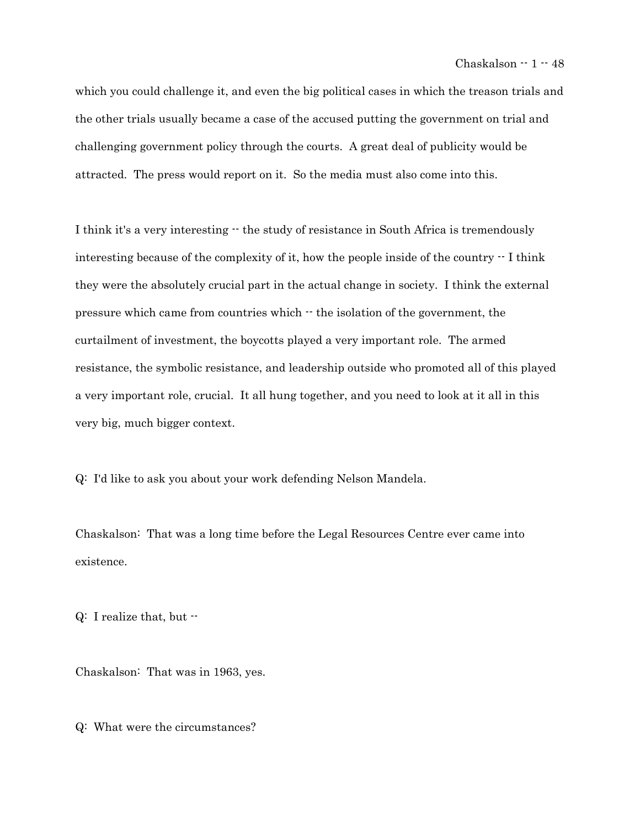which you could challenge it, and even the big political cases in which the treason trials and the other trials usually became a case of the accused putting the government on trial and challenging government policy through the courts. A great deal of publicity would be attracted. The press would report on it. So the media must also come into this.

I think it's a very interesting  $\cdot$  the study of resistance in South Africa is tremendously interesting because of the complexity of it, how the people inside of the country -- I think they were the absolutely crucial part in the actual change in society. I think the external pressure which came from countries which -- the isolation of the government, the curtailment of investment, the boycotts played a very important role. The armed resistance, the symbolic resistance, and leadership outside who promoted all of this played a very important role, crucial. It all hung together, and you need to look at it all in this very big, much bigger context.

Q: I'd like to ask you about your work defending Nelson Mandela.

Chaskalson: That was a long time before the Legal Resources Centre ever came into existence.

 $Q: I$  realize that, but  $\cdot$ 

Chaskalson: That was in 1963, yes.

Q: What were the circumstances?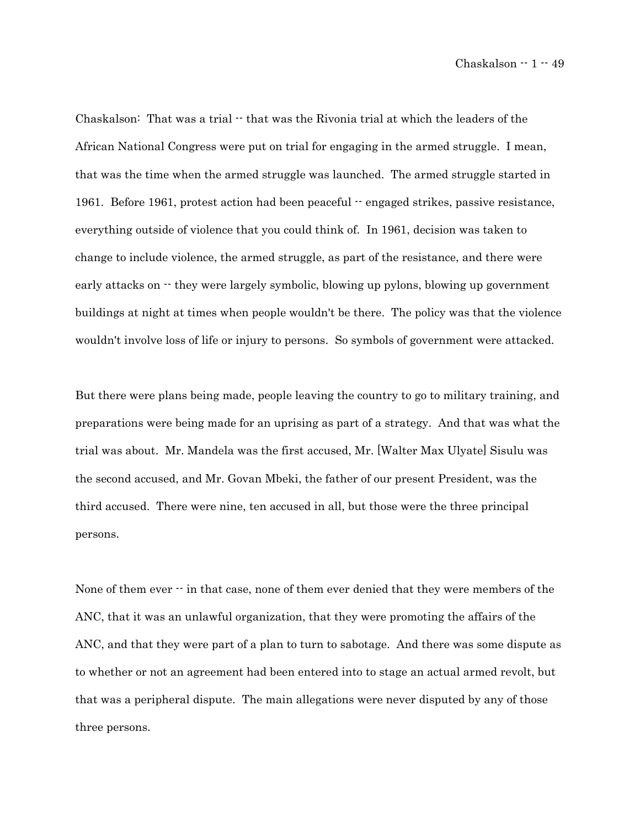Chaskalson: That was a trial  $\cdot$  that was the Rivonia trial at which the leaders of the African National Congress were put on trial for engaging in the armed struggle. I mean, that was the time when the armed struggle was launched. The armed struggle started in 1961. Before 1961, protest action had been peaceful -- engaged strikes, passive resistance, everything outside of violence that you could think of. In 1961, decision was taken to change to include violence, the armed struggle, as part of the resistance, and there were early attacks on  $\cdot$  they were largely symbolic, blowing up pylons, blowing up government buildings at night at times when people wouldn't be there. The policy was that the violence wouldn't involve loss of life or injury to persons. So symbols of government were attacked.

But there were plans being made, people leaving the country to go to military training, and preparations were being made for an uprising as part of a strategy. And that was what the trial was about. Mr. Mandela was the first accused, Mr. [Walter Max Ulyate] Sisulu was the second accused, and Mr. Govan Mbeki, the father of our present President, was the third accused. There were nine, ten accused in all, but those were the three principal persons.

None of them ever  $\cdot\cdot$  in that case, none of them ever denied that they were members of the ANC, that it was an unlawful organization, that they were promoting the affairs of the ANC, and that they were part of a plan to turn to sabotage. And there was some dispute as to whether or not an agreement had been entered into to stage an actual armed revolt, but that was a peripheral dispute. The main allegations were never disputed by any of those three persons.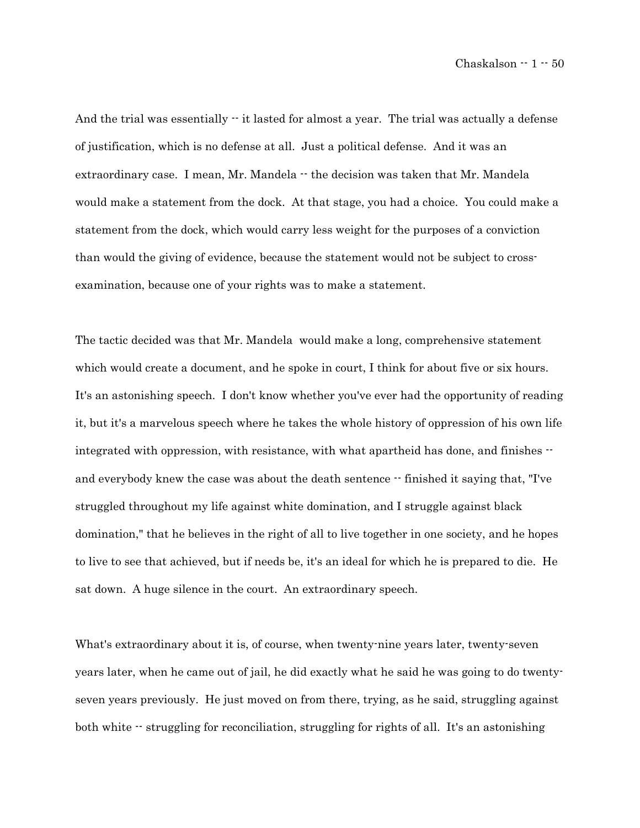And the trial was essentially  $\cdot\cdot$  it lasted for almost a year. The trial was actually a defense of justification, which is no defense at all. Just a political defense. And it was an extraordinary case. I mean, Mr. Mandela  $-$  the decision was taken that Mr. Mandela would make a statement from the dock. At that stage, you had a choice. You could make a statement from the dock, which would carry less weight for the purposes of a conviction than would the giving of evidence, because the statement would not be subject to crossexamination, because one of your rights was to make a statement.

The tactic decided was that Mr. Mandela would make a long, comprehensive statement which would create a document, and he spoke in court, I think for about five or six hours. It's an astonishing speech. I don't know whether you've ever had the opportunity of reading it, but it's a marvelous speech where he takes the whole history of oppression of his own life integrated with oppression, with resistance, with what apartheid has done, and finishes  $$ and everybody knew the case was about the death sentence  $-$  finished it saying that, "I've struggled throughout my life against white domination, and I struggle against black domination," that he believes in the right of all to live together in one society, and he hopes to live to see that achieved, but if needs be, it's an ideal for which he is prepared to die. He sat down. A huge silence in the court. An extraordinary speech.

What's extraordinary about it is, of course, when twenty-nine years later, twenty-seven years later, when he came out of jail, he did exactly what he said he was going to do twentyseven years previously. He just moved on from there, trying, as he said, struggling against both white  $\cdot$  struggling for reconciliation, struggling for rights of all. It's an astonishing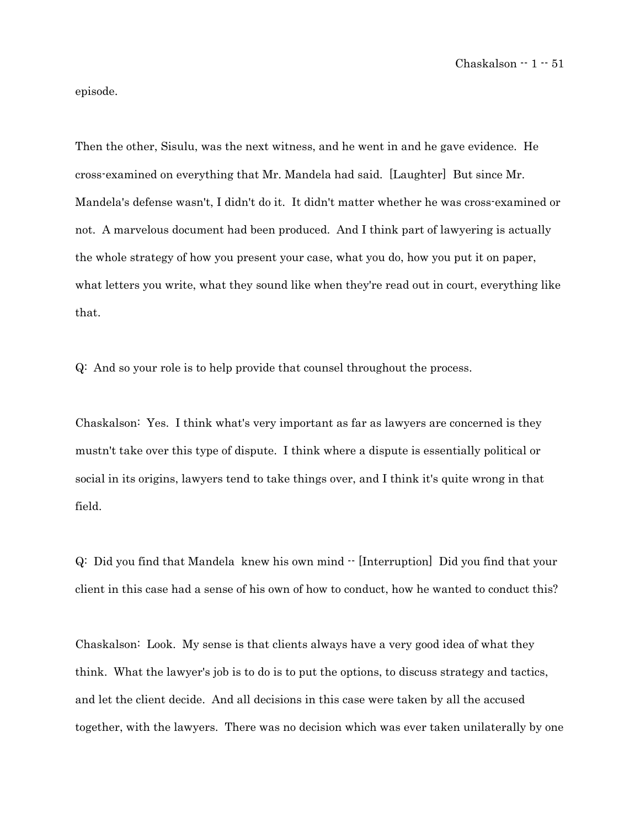episode.

Then the other, Sisulu, was the next witness, and he went in and he gave evidence. He cross-examined on everything that Mr. Mandela had said. [Laughter] But since Mr. Mandela's defense wasn't, I didn't do it. It didn't matter whether he was cross-examined or not. A marvelous document had been produced. And I think part of lawyering is actually the whole strategy of how you present your case, what you do, how you put it on paper, what letters you write, what they sound like when they're read out in court, everything like that.

Q: And so your role is to help provide that counsel throughout the process.

Chaskalson: Yes. I think what's very important as far as lawyers are concerned is they mustn't take over this type of dispute. I think where a dispute is essentially political or social in its origins, lawyers tend to take things over, and I think it's quite wrong in that field.

Q: Did you find that Mandela knew his own mind -- [Interruption] Did you find that your client in this case had a sense of his own of how to conduct, how he wanted to conduct this?

Chaskalson: Look. My sense is that clients always have a very good idea of what they think. What the lawyer's job is to do is to put the options, to discuss strategy and tactics, and let the client decide. And all decisions in this case were taken by all the accused together, with the lawyers. There was no decision which was ever taken unilaterally by one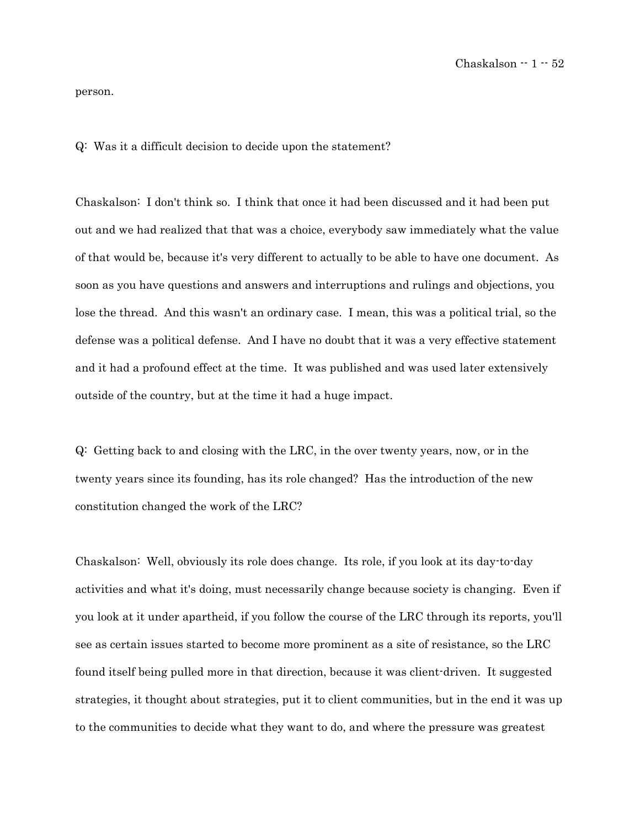person.

Q: Was it a difficult decision to decide upon the statement?

Chaskalson: I don't think so. I think that once it had been discussed and it had been put out and we had realized that that was a choice, everybody saw immediately what the value of that would be, because it's very different to actually to be able to have one document. As soon as you have questions and answers and interruptions and rulings and objections, you lose the thread. And this wasn't an ordinary case. I mean, this was a political trial, so the defense was a political defense. And I have no doubt that it was a very effective statement and it had a profound effect at the time. It was published and was used later extensively outside of the country, but at the time it had a huge impact.

Q: Getting back to and closing with the LRC, in the over twenty years, now, or in the twenty years since its founding, has its role changed? Has the introduction of the new constitution changed the work of the LRC?

Chaskalson: Well, obviously its role does change. Its role, if you look at its day-to-day activities and what it's doing, must necessarily change because society is changing. Even if you look at it under apartheid, if you follow the course of the LRC through its reports, you'll see as certain issues started to become more prominent as a site of resistance, so the LRC found itself being pulled more in that direction, because it was client-driven. It suggested strategies, it thought about strategies, put it to client communities, but in the end it was up to the communities to decide what they want to do, and where the pressure was greatest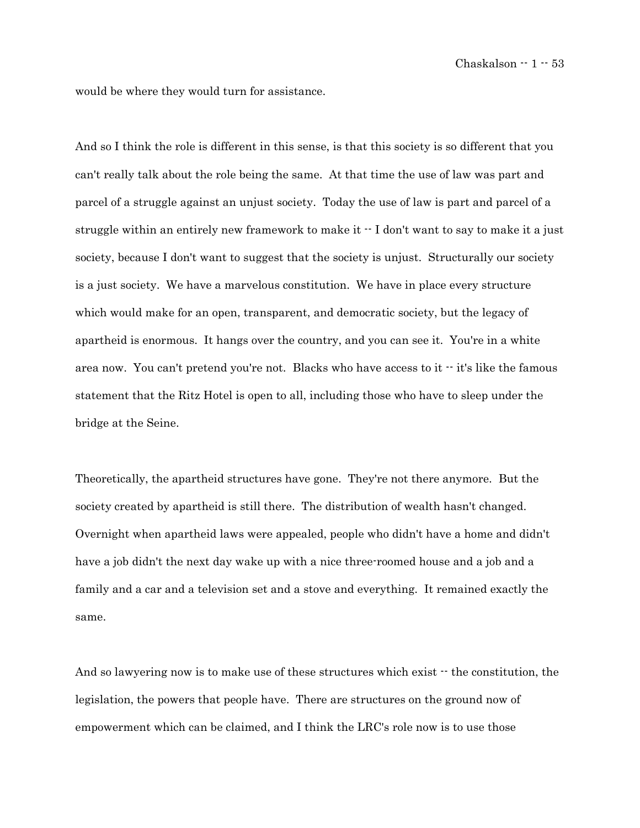would be where they would turn for assistance.

And so I think the role is different in this sense, is that this society is so different that you can't really talk about the role being the same. At that time the use of law was part and parcel of a struggle against an unjust society. Today the use of law is part and parcel of a struggle within an entirely new framework to make it -- I don't want to say to make it a just society, because I don't want to suggest that the society is unjust. Structurally our society is a just society. We have a marvelous constitution. We have in place every structure which would make for an open, transparent, and democratic society, but the legacy of apartheid is enormous. It hangs over the country, and you can see it. You're in a white area now. You can't pretend you're not. Blacks who have access to it  $\cdot$  it's like the famous statement that the Ritz Hotel is open to all, including those who have to sleep under the bridge at the Seine.

Theoretically, the apartheid structures have gone. They're not there anymore. But the society created by apartheid is still there. The distribution of wealth hasn't changed. Overnight when apartheid laws were appealed, people who didn't have a home and didn't have a job didn't the next day wake up with a nice three-roomed house and a job and a family and a car and a television set and a stove and everything. It remained exactly the same.

And so lawyering now is to make use of these structures which exist  $\cdot \cdot$  the constitution, the legislation, the powers that people have. There are structures on the ground now of empowerment which can be claimed, and I think the LRC's role now is to use those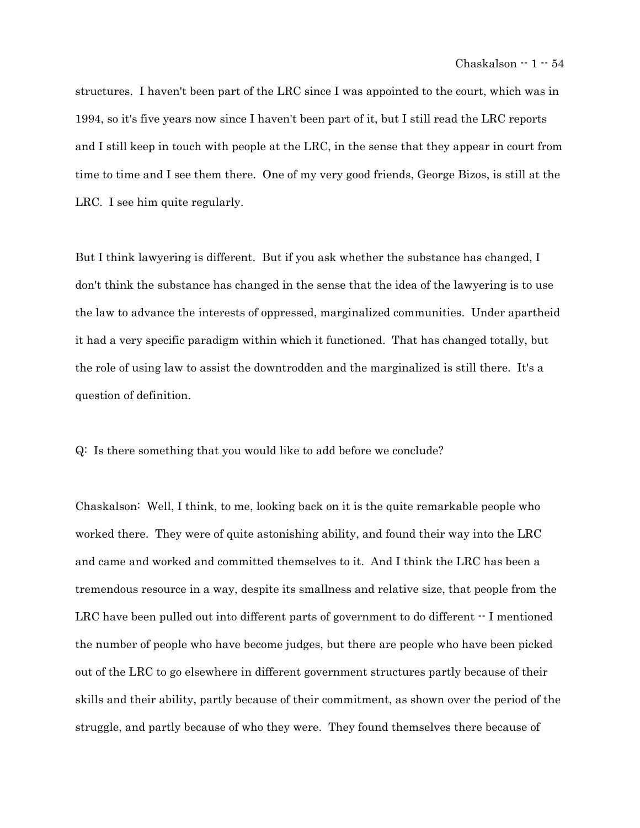structures. I haven't been part of the LRC since I was appointed to the court, which was in 1994, so it's five years now since I haven't been part of it, but I still read the LRC reports and I still keep in touch with people at the LRC, in the sense that they appear in court from time to time and I see them there. One of my very good friends, George Bizos, is still at the LRC. I see him quite regularly.

But I think lawyering is different. But if you ask whether the substance has changed, I don't think the substance has changed in the sense that the idea of the lawyering is to use the law to advance the interests of oppressed, marginalized communities. Under apartheid it had a very specific paradigm within which it functioned. That has changed totally, but the role of using law to assist the downtrodden and the marginalized is still there. It's a question of definition.

Q: Is there something that you would like to add before we conclude?

Chaskalson: Well, I think, to me, looking back on it is the quite remarkable people who worked there. They were of quite astonishing ability, and found their way into the LRC and came and worked and committed themselves to it. And I think the LRC has been a tremendous resource in a way, despite its smallness and relative size, that people from the LRC have been pulled out into different parts of government to do different  $\cdot$  I mentioned the number of people who have become judges, but there are people who have been picked out of the LRC to go elsewhere in different government structures partly because of their skills and their ability, partly because of their commitment, as shown over the period of the struggle, and partly because of who they were. They found themselves there because of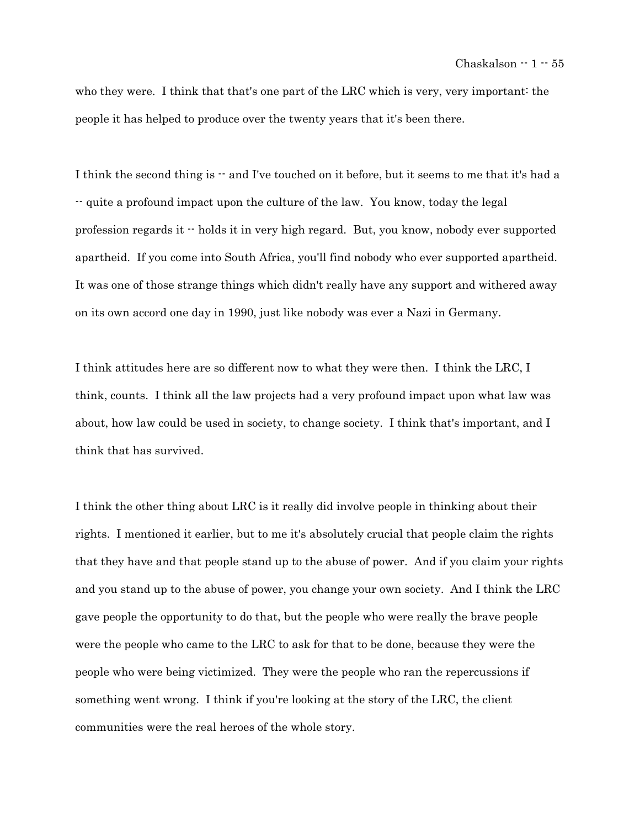who they were. I think that that's one part of the LRC which is very, very important: the people it has helped to produce over the twenty years that it's been there.

I think the second thing is  $\cdot$  and I've touched on it before, but it seems to me that it's had a -- quite a profound impact upon the culture of the law. You know, today the legal profession regards it -- holds it in very high regard. But, you know, nobody ever supported apartheid. If you come into South Africa, you'll find nobody who ever supported apartheid. It was one of those strange things which didn't really have any support and withered away on its own accord one day in 1990, just like nobody was ever a Nazi in Germany.

I think attitudes here are so different now to what they were then. I think the LRC, I think, counts. I think all the law projects had a very profound impact upon what law was about, how law could be used in society, to change society. I think that's important, and I think that has survived.

I think the other thing about LRC is it really did involve people in thinking about their rights. I mentioned it earlier, but to me it's absolutely crucial that people claim the rights that they have and that people stand up to the abuse of power. And if you claim your rights and you stand up to the abuse of power, you change your own society. And I think the LRC gave people the opportunity to do that, but the people who were really the brave people were the people who came to the LRC to ask for that to be done, because they were the people who were being victimized. They were the people who ran the repercussions if something went wrong. I think if you're looking at the story of the LRC, the client communities were the real heroes of the whole story.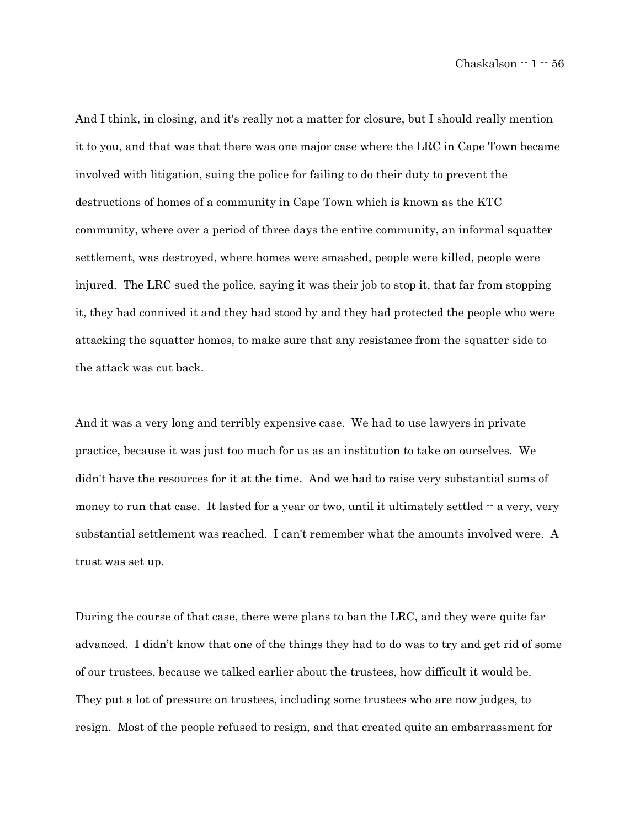And I think, in closing, and it's really not a matter for closure, but I should really mention it to you, and that was that there was one major case where the LRC in Cape Town became involved with litigation, suing the police for failing to do their duty to prevent the destructions of homes of a community in Cape Town which is known as the KTC community, where over a period of three days the entire community, an informal squatter settlement, was destroyed, where homes were smashed, people were killed, people were injured. The LRC sued the police, saying it was their job to stop it, that far from stopping it, they had connived it and they had stood by and they had protected the people who were attacking the squatter homes, to make sure that any resistance from the squatter side to the attack was cut back.

And it was a very long and terribly expensive case. We had to use lawyers in private practice, because it was just too much for us as an institution to take on ourselves. We didn't have the resources for it at the time. And we had to raise very substantial sums of money to run that case. It lasted for a year or two, until it ultimately settled  $-$  a very, very substantial settlement was reached. I can't remember what the amounts involved were. A trust was set up.

During the course of that case, there were plans to ban the LRC, and they were quite far advanced. I didn't know that one of the things they had to do was to try and get rid of some of our trustees, because we talked earlier about the trustees, how difficult it would be. They put a lot of pressure on trustees, including some trustees who are now judges, to resign. Most of the people refused to resign, and that created quite an embarrassment for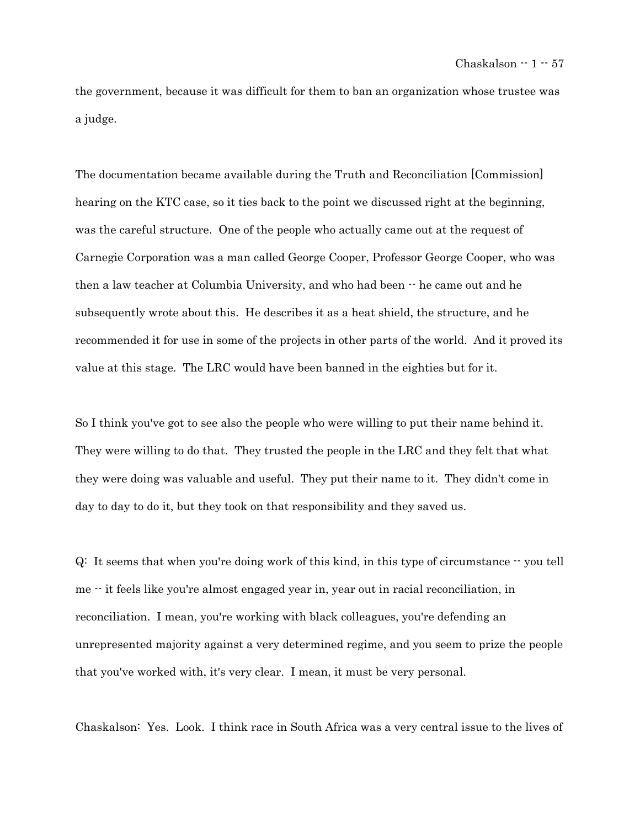the government, because it was difficult for them to ban an organization whose trustee was a judge.

The documentation became available during the Truth and Reconciliation [Commission] hearing on the KTC case, so it ties back to the point we discussed right at the beginning, was the careful structure. One of the people who actually came out at the request of Carnegie Corporation was a man called George Cooper, Professor George Cooper, who was then a law teacher at Columbia University, and who had been -- he came out and he subsequently wrote about this. He describes it as a heat shield, the structure, and he recommended it for use in some of the projects in other parts of the world. And it proved its value at this stage. The LRC would have been banned in the eighties but for it.

So I think you've got to see also the people who were willing to put their name behind it. They were willing to do that. They trusted the people in the LRC and they felt that what they were doing was valuable and useful. They put their name to it. They didn't come in day to day to do it, but they took on that responsibility and they saved us.

 $Q:$  It seems that when you're doing work of this kind, in this type of circumstance  $\cdot$  you tell me -- it feels like you're almost engaged year in, year out in racial reconciliation, in reconciliation. I mean, you're working with black colleagues, you're defending an unrepresented majority against a very determined regime, and you seem to prize the people that you've worked with, it's very clear. I mean, it must be very personal.

Chaskalson: Yes. Look. I think race in South Africa was a very central issue to the lives of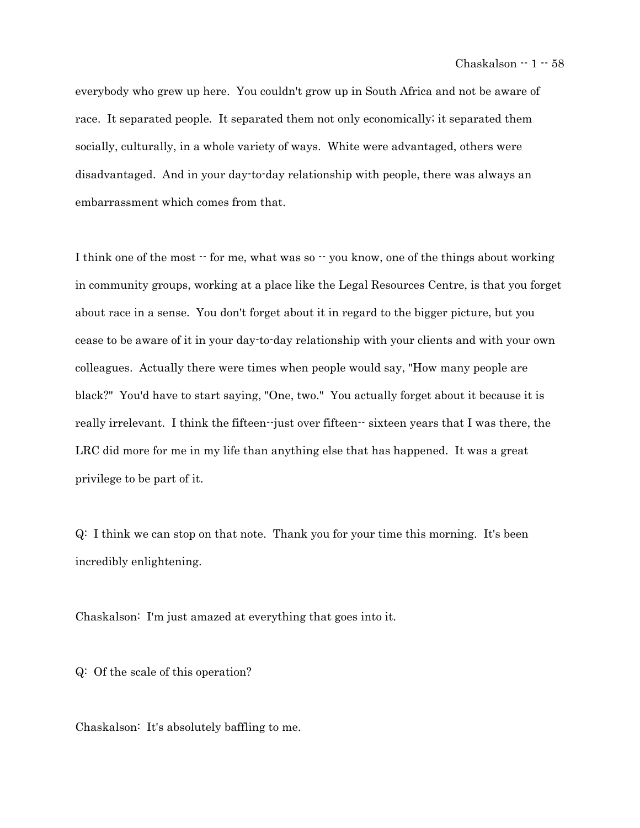everybody who grew up here. You couldn't grow up in South Africa and not be aware of race. It separated people. It separated them not only economically; it separated them socially, culturally, in a whole variety of ways. White were advantaged, others were disadvantaged. And in your day-to-day relationship with people, there was always an embarrassment which comes from that.

I think one of the most  $\cdot$  for me, what was so  $\cdot$  you know, one of the things about working in community groups, working at a place like the Legal Resources Centre, is that you forget about race in a sense. You don't forget about it in regard to the bigger picture, but you cease to be aware of it in your day-to-day relationship with your clients and with your own colleagues. Actually there were times when people would say, "How many people are black?" You'd have to start saying, "One, two." You actually forget about it because it is really irrelevant. I think the fifteen--just over fifteen-- sixteen years that I was there, the LRC did more for me in my life than anything else that has happened. It was a great privilege to be part of it.

Q: I think we can stop on that note. Thank you for your time this morning. It's been incredibly enlightening.

Chaskalson: I'm just amazed at everything that goes into it.

Q: Of the scale of this operation?

Chaskalson: It's absolutely baffling to me.